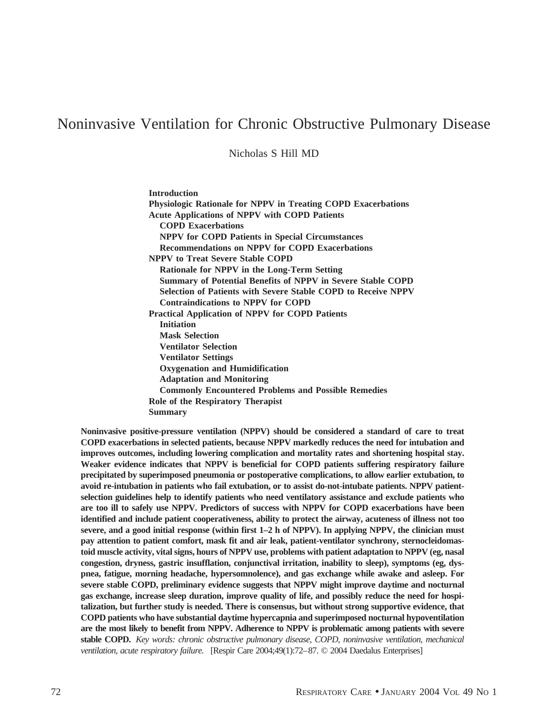# Noninvasive Ventilation for Chronic Obstructive Pulmonary Disease

Nicholas S Hill MD

**Introduction Physiologic Rationale for NPPV in Treating COPD Exacerbations Acute Applications of NPPV with COPD Patients COPD Exacerbations NPPV for COPD Patients in Special Circumstances Recommendations on NPPV for COPD Exacerbations NPPV to Treat Severe Stable COPD Rationale for NPPV in the Long-Term Setting Summary of Potential Benefits of NPPV in Severe Stable COPD Selection of Patients with Severe Stable COPD to Receive NPPV Contraindications to NPPV for COPD Practical Application of NPPV for COPD Patients Initiation Mask Selection Ventilator Selection Ventilator Settings Oxygenation and Humidification Adaptation and Monitoring Commonly Encountered Problems and Possible Remedies Role of the Respiratory Therapist**

**Summary**

**Noninvasive positive-pressure ventilation (NPPV) should be considered a standard of care to treat COPD exacerbations in selected patients, because NPPV markedly reduces the need for intubation and improves outcomes, including lowering complication and mortality rates and shortening hospital stay. Weaker evidence indicates that NPPV is beneficial for COPD patients suffering respiratory failure precipitated by superimposed pneumonia or postoperative complications, to allow earlier extubation, to avoid re-intubation in patients who fail extubation, or to assist do-not-intubate patients. NPPV patientselection guidelines help to identify patients who need ventilatory assistance and exclude patients who are too ill to safely use NPPV. Predictors of success with NPPV for COPD exacerbations have been identified and include patient cooperativeness, ability to protect the airway, acuteness of illness not too severe, and a good initial response (within first 1–2 h of NPPV). In applying NPPV, the clinician must pay attention to patient comfort, mask fit and air leak, patient-ventilator synchrony, sternocleidomastoid muscle activity, vital signs, hours of NPPV use, problems with patient adaptation to NPPV (eg, nasal congestion, dryness, gastric insufflation, conjunctival irritation, inability to sleep), symptoms (eg, dyspnea, fatigue, morning headache, hypersomnolence), and gas exchange while awake and asleep. For severe stable COPD, preliminary evidence suggests that NPPV might improve daytime and nocturnal gas exchange, increase sleep duration, improve quality of life, and possibly reduce the need for hospitalization, but further study is needed. There is consensus, but without strong supportive evidence, that COPD patients who have substantial daytime hypercapnia and superimposed nocturnal hypoventilation are the most likely to benefit from NPPV. Adherence to NPPV is problematic among patients with severe stable COPD.** *Key words: chronic obstructive pulmonary disease, COPD, noninvasive ventilation, mechanical ventilation, acute respiratory failure.* [Respir Care 2004;49(1):72–87. © 2004 Daedalus Enterprises]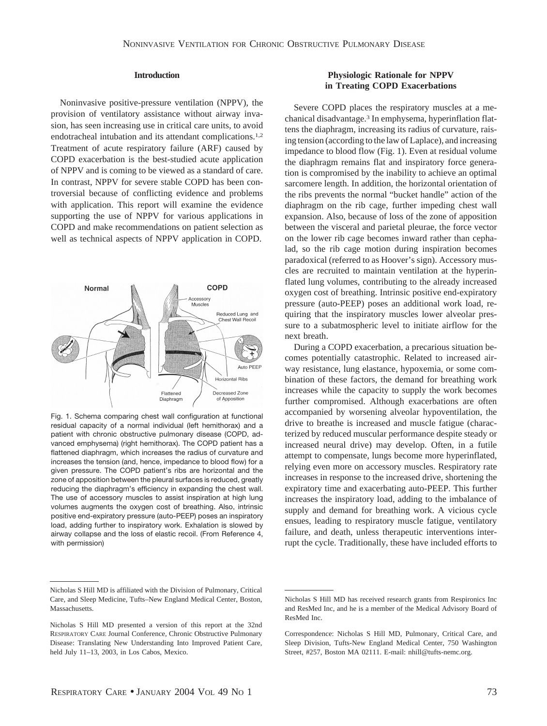## **Introduction**

Noninvasive positive-pressure ventilation (NPPV), the provision of ventilatory assistance without airway invasion, has seen increasing use in critical care units, to avoid endotracheal intubation and its attendant complications.1,2 Treatment of acute respiratory failure (ARF) caused by COPD exacerbation is the best-studied acute application of NPPV and is coming to be viewed as a standard of care. In contrast, NPPV for severe stable COPD has been controversial because of conflicting evidence and problems with application. This report will examine the evidence supporting the use of NPPV for various applications in COPD and make recommendations on patient selection as well as technical aspects of NPPV application in COPD.



Fig. 1. Schema comparing chest wall configuration at functional residual capacity of a normal individual (left hemithorax) and a patient with chronic obstructive pulmonary disease (COPD, advanced emphysema) (right hemithorax). The COPD patient has a flattened diaphragm, which increases the radius of curvature and increases the tension (and, hence, impedance to blood flow) for a given pressure. The COPD patient's ribs are horizontal and the zone of apposition between the pleural surfaces is reduced, greatly reducing the diaphragm's efficiency in expanding the chest wall. The use of accessory muscles to assist inspiration at high lung volumes augments the oxygen cost of breathing. Also, intrinsic positive end-expiratory pressure (auto-PEEP) poses an inspiratory load, adding further to inspiratory work. Exhalation is slowed by airway collapse and the loss of elastic recoil. (From Reference 4, with permission)

# **Physiologic Rationale for NPPV in Treating COPD Exacerbations**

Severe COPD places the respiratory muscles at a mechanical disadvantage.3 In emphysema, hyperinflation flattens the diaphragm, increasing its radius of curvature, raising tension (according to the law of Laplace), and increasing impedance to blood flow (Fig. 1). Even at residual volume the diaphragm remains flat and inspiratory force generation is compromised by the inability to achieve an optimal sarcomere length. In addition, the horizontal orientation of the ribs prevents the normal "bucket handle" action of the diaphragm on the rib cage, further impeding chest wall expansion. Also, because of loss of the zone of apposition between the visceral and parietal pleurae, the force vector on the lower rib cage becomes inward rather than cephalad, so the rib cage motion during inspiration becomes paradoxical (referred to as Hoover's sign). Accessory muscles are recruited to maintain ventilation at the hyperinflated lung volumes, contributing to the already increased oxygen cost of breathing. Intrinsic positive end-expiratory pressure (auto-PEEP) poses an additional work load, requiring that the inspiratory muscles lower alveolar pressure to a subatmospheric level to initiate airflow for the next breath.

During a COPD exacerbation, a precarious situation becomes potentially catastrophic. Related to increased airway resistance, lung elastance, hypoxemia, or some combination of these factors, the demand for breathing work increases while the capacity to supply the work becomes further compromised. Although exacerbations are often accompanied by worsening alveolar hypoventilation, the drive to breathe is increased and muscle fatigue (characterized by reduced muscular performance despite steady or increased neural drive) may develop. Often, in a futile attempt to compensate, lungs become more hyperinflated, relying even more on accessory muscles. Respiratory rate increases in response to the increased drive, shortening the expiratory time and exacerbating auto-PEEP. This further increases the inspiratory load, adding to the imbalance of supply and demand for breathing work. A vicious cycle ensues, leading to respiratory muscle fatigue, ventilatory failure, and death, unless therapeutic interventions interrupt the cycle. Traditionally, these have included efforts to

Nicholas S Hill MD is affiliated with the Division of Pulmonary, Critical Care, and Sleep Medicine, Tufts–New England Medical Center, Boston, Massachusetts.

Nicholas S Hill MD presented a version of this report at the 32nd RESPIRATORY CARE Journal Conference, Chronic Obstructive Pulmonary Disease: Translating New Understanding Into Improved Patient Care, held July 11–13, 2003, in Los Cabos, Mexico.

Nicholas S Hill MD has received research grants from Respironics Inc and ResMed Inc, and he is a member of the Medical Advisory Board of ResMed Inc.

Correspondence: Nicholas S Hill MD, Pulmonary, Critical Care, and Sleep Division, Tufts-New England Medical Center, 750 Washington Street, #257, Boston MA 02111. E-mail: nhill@tufts-nemc.org.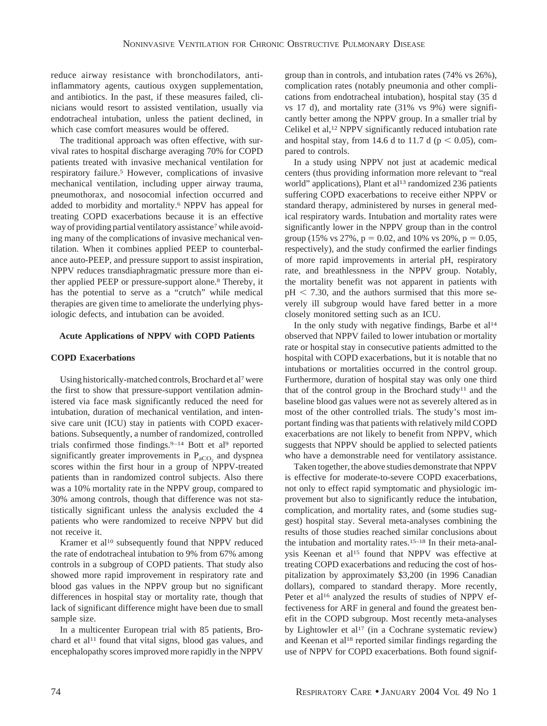reduce airway resistance with bronchodilators, antiinflammatory agents, cautious oxygen supplementation, and antibiotics. In the past, if these measures failed, clinicians would resort to assisted ventilation, usually via endotracheal intubation, unless the patient declined, in which case comfort measures would be offered.

The traditional approach was often effective, with survival rates to hospital discharge averaging 70% for COPD patients treated with invasive mechanical ventilation for respiratory failure.5 However, complications of invasive mechanical ventilation, including upper airway trauma, pneumothorax, and nosocomial infection occurred and added to morbidity and mortality.6 NPPV has appeal for treating COPD exacerbations because it is an effective way of providing partial ventilatory assistance<sup>7</sup> while avoiding many of the complications of invasive mechanical ventilation. When it combines applied PEEP to counterbalance auto-PEEP, and pressure support to assist inspiration, NPPV reduces transdiaphragmatic pressure more than either applied PEEP or pressure-support alone.8 Thereby, it has the potential to serve as a "crutch" while medical therapies are given time to ameliorate the underlying physiologic defects, and intubation can be avoided.

## **Acute Applications of NPPV with COPD Patients**

## **COPD Exacerbations**

Using historically-matched controls, Brochard et al7were the first to show that pressure-support ventilation administered via face mask significantly reduced the need for intubation, duration of mechanical ventilation, and intensive care unit (ICU) stay in patients with COPD exacerbations. Subsequently, a number of randomized, controlled trials confirmed those findings.<sup>9-14</sup> Bott et al<sup>9</sup> reported significantly greater improvements in  $P_{aCO_2}$  and dyspnea scores within the first hour in a group of NPPV-treated patients than in randomized control subjects. Also there was a 10% mortality rate in the NPPV group, compared to 30% among controls, though that difference was not statistically significant unless the analysis excluded the 4 patients who were randomized to receive NPPV but did not receive it.

Kramer et al<sup>10</sup> subsequently found that NPPV reduced the rate of endotracheal intubation to 9% from 67% among controls in a subgroup of COPD patients. That study also showed more rapid improvement in respiratory rate and blood gas values in the NPPV group but no significant differences in hospital stay or mortality rate, though that lack of significant difference might have been due to small sample size.

In a multicenter European trial with 85 patients, Brochard et al<sup>11</sup> found that vital signs, blood gas values, and encephalopathy scores improved more rapidly in the NPPV

group than in controls, and intubation rates (74% vs 26%), complication rates (notably pneumonia and other complications from endotracheal intubation), hospital stay (35 d vs 17 d), and mortality rate (31% vs 9%) were significantly better among the NPPV group. In a smaller trial by Celikel et al,<sup>12</sup> NPPV significantly reduced intubation rate and hospital stay, from 14.6 d to 11.7 d ( $p < 0.05$ ), compared to controls.

In a study using NPPV not just at academic medical centers (thus providing information more relevant to "real world" applications), Plant et al<sup>13</sup> randomized 236 patients suffering COPD exacerbations to receive either NPPV or standard therapy, administered by nurses in general medical respiratory wards. Intubation and mortality rates were significantly lower in the NPPV group than in the control group (15% vs 27%,  $p = 0.02$ , and 10% vs 20%,  $p = 0.05$ , respectively), and the study confirmed the earlier findings of more rapid improvements in arterial pH, respiratory rate, and breathlessness in the NPPV group. Notably, the mortality benefit was not apparent in patients with  $pH < 7.30$ , and the authors surmised that this more severely ill subgroup would have fared better in a more closely monitored setting such as an ICU.

In the only study with negative findings, Barbe et al<sup>14</sup> observed that NPPV failed to lower intubation or mortality rate or hospital stay in consecutive patients admitted to the hospital with COPD exacerbations, but it is notable that no intubations or mortalities occurred in the control group. Furthermore, duration of hospital stay was only one third that of the control group in the Brochard study<sup>11</sup> and the baseline blood gas values were not as severely altered as in most of the other controlled trials. The study's most important finding was that patients with relatively mild COPD exacerbations are not likely to benefit from NPPV, which suggests that NPPV should be applied to selected patients who have a demonstrable need for ventilatory assistance.

Taken together, the above studies demonstrate that NPPV is effective for moderate-to-severe COPD exacerbations, not only to effect rapid symptomatic and physiologic improvement but also to significantly reduce the intubation, complication, and mortality rates, and (some studies suggest) hospital stay. Several meta-analyses combining the results of those studies reached similar conclusions about the intubation and mortality rates.15–18 In their meta-analysis Keenan et al<sup>15</sup> found that NPPV was effective at treating COPD exacerbations and reducing the cost of hospitalization by approximately \$3,200 (in 1996 Canadian dollars), compared to standard therapy. More recently, Peter et al<sup>16</sup> analyzed the results of studies of NPPV effectiveness for ARF in general and found the greatest benefit in the COPD subgroup. Most recently meta-analyses by Lightowler et al<sup>17</sup> (in a Cochrane systematic review) and Keenan et al18 reported similar findings regarding the use of NPPV for COPD exacerbations. Both found signif-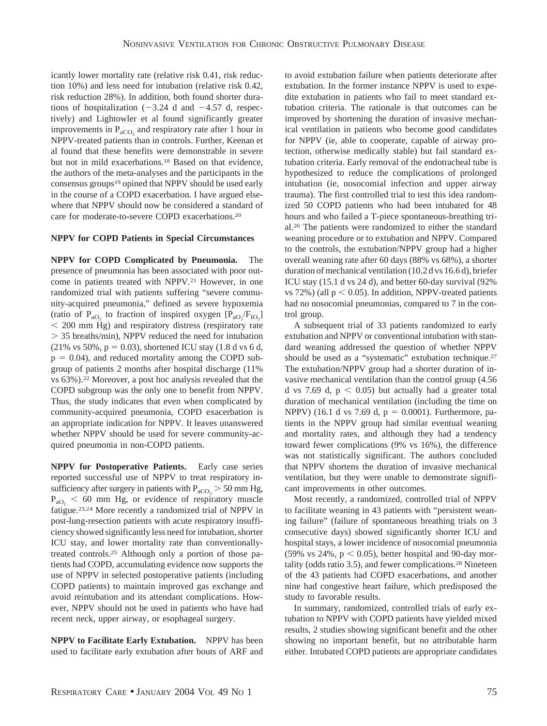icantly lower mortality rate (relative risk 0.41, risk reduction 10%) and less need for intubation (relative risk 0.42, risk reduction 28%). In addition, both found shorter durations of hospitalization  $(-3.24$  d and  $-4.57$  d, respectively) and Lightowler et al found significantly greater improvements in  $P_{aCO_2}$  and respiratory rate after 1 hour in NPPV-treated patients than in controls. Further, Keenan et al found that these benefits were demonstrable in severe but not in mild exacerbations.18 Based on that evidence, the authors of the meta-analyses and the participants in the consensus groups19 opined that NPPV should be used early in the course of a COPD exacerbation. I have argued elsewhere that NPPV should now be considered a standard of care for moderate-to-severe COPD exacerbations.20

## **NPPV for COPD Patients in Special Circumstances**

**NPPV for COPD Complicated by Pneumonia.** The presence of pneumonia has been associated with poor outcome in patients treated with NPPV.21 However, in one randomized trial with patients suffering "severe community-acquired pneumonia," defined as severe hypoxemia (ratio of  $P_{aO_2}$  to fraction of inspired oxygen  $[P_{aO_2}/F_{IO_2}]$  200 mm Hg) and respiratory distress (respiratory rate 35 breaths/min), NPPV reduced the need for intubation  $(21\% \text{ vs } 50\%, \text{ p} = 0.03)$ , shortened ICU stay  $(1.8 \text{ d vs } 6 \text{ d},$  $p = 0.04$ ), and reduced mortality among the COPD subgroup of patients 2 months after hospital discharge (11% vs 63%).22 Moreover, a post hoc analysis revealed that the COPD subgroup was the only one to benefit from NPPV. Thus, the study indicates that even when complicated by community-acquired pneumonia, COPD exacerbation is an appropriate indication for NPPV. It leaves unanswered whether NPPV should be used for severe community-acquired pneumonia in non-COPD patients.

**NPPV for Postoperative Patients.** Early case series reported successful use of NPPV to treat respiratory insufficiency after surgery in patients with  $P_{\text{aCO}_2}$  > 50 mm Hg,  $P_{aO_2}$  < 60 mm Hg, or evidence of respiratory muscle fatigue.23,24 More recently a randomized trial of NPPV in post-lung-resection patients with acute respiratory insufficiency showed significantly less need for intubation, shorter ICU stay, and lower mortality rate than conventionallytreated controls.25 Although only a portion of those patients had COPD, accumulating evidence now supports the use of NPPV in selected postoperative patients (including COPD patients) to maintain improved gas exchange and avoid reintubation and its attendant complications. However, NPPV should not be used in patients who have had recent neck, upper airway, or esophageal surgery.

**NPPV to Facilitate Early Extubation.** NPPV has been used to facilitate early extubation after bouts of ARF and to avoid extubation failure when patients deteriorate after extubation. In the former instance NPPV is used to expedite extubation in patients who fail to meet standard extubation criteria. The rationale is that outcomes can be improved by shortening the duration of invasive mechanical ventilation in patients who become good candidates for NPPV (ie, able to cooperate, capable of airway protection, otherwise medically stable) but fail standard extubation criteria. Early removal of the endotracheal tube is hypothesized to reduce the complications of prolonged intubation (ie, nosocomial infection and upper airway trauma). The first controlled trial to test this idea randomized 50 COPD patients who had been intubated for 48 hours and who failed a T-piece spontaneous-breathing trial.26 The patients were randomized to either the standard weaning procedure or to extubation and NPPV. Compared to the controls, the extubation/NPPV group had a higher overall weaning rate after 60 days (88% vs 68%), a shorter duration of mechanical ventilation (10.2 d vs 16.6 d), briefer ICU stay (15.1 d vs 24 d), and better 60-day survival (92% vs 72%) (all  $p < 0.05$ ). In addition, NPPV-treated patients had no nosocomial pneumonias, compared to 7 in the control group.

A subsequent trial of 33 patients randomized to early extubation and NPPV or conventional intubation with standard weaning addressed the question of whether NPPV should be used as a "systematic" extubation technique.<sup>27</sup> The extubation/NPPV group had a shorter duration of invasive mechanical ventilation than the control group (4.56 d vs 7.69 d,  $p < 0.05$ ) but actually had a greater total duration of mechanical ventilation (including the time on NPPV) (16.1 d vs 7.69 d,  $p = 0.0001$ ). Furthermore, patients in the NPPV group had similar eventual weaning and mortality rates, and although they had a tendency toward fewer complications (9% vs 16%), the difference was not statistically significant. The authors concluded that NPPV shortens the duration of invasive mechanical ventilation, but they were unable to demonstrate significant improvements in other outcomes.

Most recently, a randomized, controlled trial of NPPV to facilitate weaning in 43 patients with "persistent weaning failure" (failure of spontaneous breathing trials on 3 consecutive days) showed significantly shorter ICU and hospital stays, a lower incidence of nosocomial pneumonia (59% vs 24%,  $p < 0.05$ ), better hospital and 90-day mortality (odds ratio 3.5), and fewer complications.28 Nineteen of the 43 patients had COPD exacerbations, and another nine had congestive heart failure, which predisposed the study to favorable results.

In summary, randomized, controlled trials of early extubation to NPPV with COPD patients have yielded mixed results, 2 studies showing significant benefit and the other showing no important benefit, but no attributable harm either. Intubated COPD patients are appropriate candidates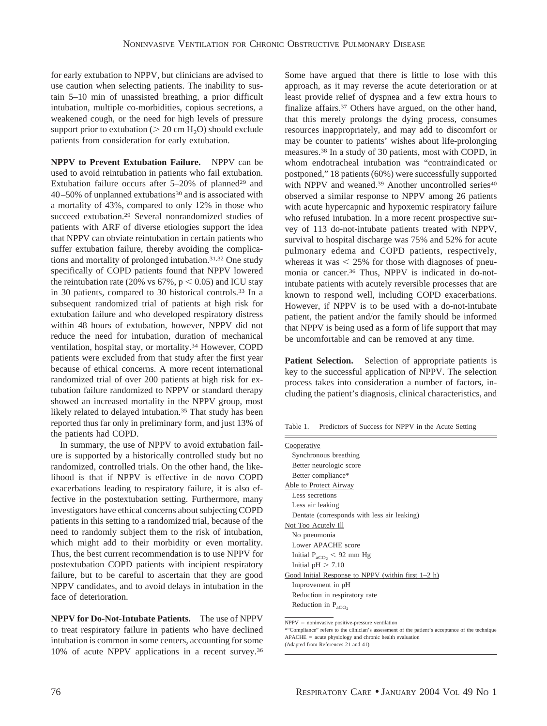for early extubation to NPPV, but clinicians are advised to use caution when selecting patients. The inability to sustain 5–10 min of unassisted breathing, a prior difficult intubation, multiple co-morbidities, copious secretions, a weakened cough, or the need for high levels of pressure support prior to extubation ( $> 20 \text{ cm H}_2\text{O}$ ) should exclude patients from consideration for early extubation.

**NPPV to Prevent Extubation Failure.** NPPV can be used to avoid reintubation in patients who fail extubation. Extubation failure occurs after  $5-20\%$  of planned<sup>29</sup> and 40–50% of unplanned extubations30 and is associated with a mortality of 43%, compared to only 12% in those who succeed extubation.29 Several nonrandomized studies of patients with ARF of diverse etiologies support the idea that NPPV can obviate reintubation in certain patients who suffer extubation failure, thereby avoiding the complications and mortality of prolonged intubation.31,32 One study specifically of COPD patients found that NPPV lowered the reintubation rate (20% vs  $67\%$ ,  $p < 0.05$ ) and ICU stay in 30 patients, compared to 30 historical controls.33 In a subsequent randomized trial of patients at high risk for extubation failure and who developed respiratory distress within 48 hours of extubation, however, NPPV did not reduce the need for intubation, duration of mechanical ventilation, hospital stay, or mortality.34 However, COPD patients were excluded from that study after the first year because of ethical concerns. A more recent international randomized trial of over 200 patients at high risk for extubation failure randomized to NPPV or standard therapy showed an increased mortality in the NPPV group, most likely related to delayed intubation.<sup>35</sup> That study has been reported thus far only in preliminary form, and just 13% of the patients had COPD.

In summary, the use of NPPV to avoid extubation failure is supported by a historically controlled study but no randomized, controlled trials. On the other hand, the likelihood is that if NPPV is effective in de novo COPD exacerbations leading to respiratory failure, it is also effective in the postextubation setting. Furthermore, many investigators have ethical concerns about subjecting COPD patients in this setting to a randomized trial, because of the need to randomly subject them to the risk of intubation, which might add to their morbidity or even mortality. Thus, the best current recommendation is to use NPPV for postextubation COPD patients with incipient respiratory failure, but to be careful to ascertain that they are good NPPV candidates, and to avoid delays in intubation in the face of deterioration.

**NPPV for Do-Not-Intubate Patients.** The use of NPPV to treat respiratory failure in patients who have declined intubation is common in some centers, accounting for some 10% of acute NPPV applications in a recent survey.36 Some have argued that there is little to lose with this approach, as it may reverse the acute deterioration or at least provide relief of dyspnea and a few extra hours to finalize affairs.37 Others have argued, on the other hand, that this merely prolongs the dying process, consumes resources inappropriately, and may add to discomfort or may be counter to patients' wishes about life-prolonging measures.38 In a study of 30 patients, most with COPD, in whom endotracheal intubation was "contraindicated or postponed," 18 patients (60%) were successfully supported with NPPV and weaned.<sup>39</sup> Another uncontrolled series<sup>40</sup> observed a similar response to NPPV among 26 patients with acute hypercapnic and hypoxemic respiratory failure who refused intubation. In a more recent prospective survey of 113 do-not-intubate patients treated with NPPV, survival to hospital discharge was 75% and 52% for acute pulmonary edema and COPD patients, respectively, whereas it was  $\leq$  25% for those with diagnoses of pneumonia or cancer.36 Thus, NPPV is indicated in do-notintubate patients with acutely reversible processes that are known to respond well, including COPD exacerbations. However, if NPPV is to be used with a do-not-intubate patient, the patient and/or the family should be informed that NPPV is being used as a form of life support that may be uncomfortable and can be removed at any time.

**Patient Selection.** Selection of appropriate patients is key to the successful application of NPPV. The selection process takes into consideration a number of factors, including the patient's diagnosis, clinical characteristics, and

Table 1. Predictors of Success for NPPV in the Acute Setting

 $NPPV = noninvasive positive-pressure ventilation$ 

<sup>\*&</sup>quot;Compliance" refers to the clinician's assessment of the patient's acceptance of the technique  $APACHE = acute physiology and chronic health evaluation$ 

<sup>(</sup>Adapted from References 21 and 41)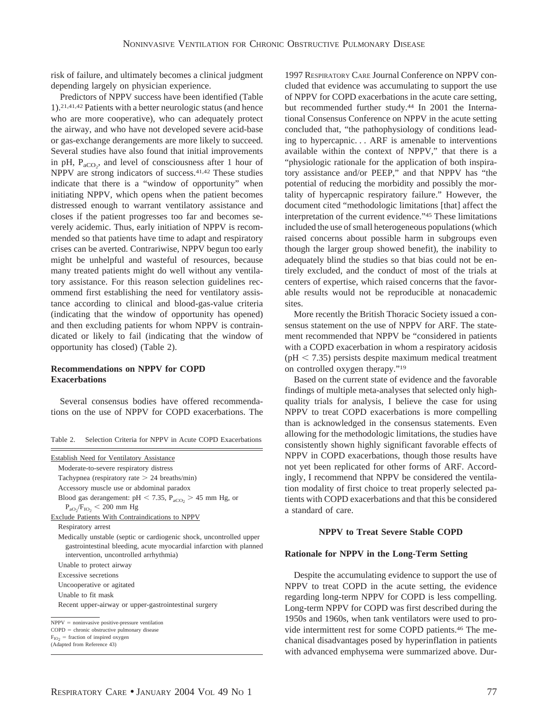risk of failure, and ultimately becomes a clinical judgment depending largely on physician experience.

Predictors of NPPV success have been identified (Table 1).21,41,42 Patients with a better neurologic status (and hence who are more cooperative), who can adequately protect the airway, and who have not developed severe acid-base or gas-exchange derangements are more likely to succeed. Several studies have also found that initial improvements in pH,  $P_{aCO_2}$ , and level of consciousness after 1 hour of NPPV are strong indicators of success.41,42 These studies indicate that there is a "window of opportunity" when initiating NPPV, which opens when the patient becomes distressed enough to warrant ventilatory assistance and closes if the patient progresses too far and becomes severely acidemic. Thus, early initiation of NPPV is recommended so that patients have time to adapt and respiratory crises can be averted. Contrariwise, NPPV begun too early might be unhelpful and wasteful of resources, because many treated patients might do well without any ventilatory assistance. For this reason selection guidelines recommend first establishing the need for ventilatory assistance according to clinical and blood-gas-value criteria (indicating that the window of opportunity has opened) and then excluding patients for whom NPPV is contraindicated or likely to fail (indicating that the window of opportunity has closed) (Table 2).

# **Recommendations on NPPV for COPD Exacerbations**

Several consensus bodies have offered recommendations on the use of NPPV for COPD exacerbations. The

| Table 2. Selection Criteria for NPPV in Acute COPD Exacerbations |  |
|------------------------------------------------------------------|--|
|------------------------------------------------------------------|--|

| Establish Need for Ventilatory Assistance                                                                                                                                            |
|--------------------------------------------------------------------------------------------------------------------------------------------------------------------------------------|
| Moderate-to-severe respiratory distress                                                                                                                                              |
| Tachypnea (respiratory rate $> 24$ breaths/min)                                                                                                                                      |
| Accessory muscle use or abdominal paradox                                                                                                                                            |
| Blood gas derangement: $pH < 7.35$ , $P_{aCO_2} > 45$ mm Hg, or                                                                                                                      |
| $P_{aO_2}/F_{IO_2} < 200$ mm Hg                                                                                                                                                      |
| Exclude Patients With Contraindications to NPPV                                                                                                                                      |
| Respiratory arrest                                                                                                                                                                   |
| Medically unstable (septic or cardiogenic shock, uncontrolled upper<br>gastrointestinal bleeding, acute myocardial infarction with planned<br>intervention, uncontrolled arrhythmia) |
| Unable to protect airway                                                                                                                                                             |
| Excessive secretions                                                                                                                                                                 |
| Uncooperative or agitated                                                                                                                                                            |
| Unable to fit mask                                                                                                                                                                   |
| Recent upper-airway or upper-gastrointestinal surgery                                                                                                                                |
| $NPPV = noninvasive positive-pressure ventilation$                                                                                                                                   |
| $COPD =$ chronic obstructive pulmonary disease<br>and the state of the state of the state of the state of the state of the state of the state of the state of the                    |
|                                                                                                                                                                                      |

 $F_{IO2}$  = fraction of inspired o:<br>(Adapted from Reference 43) = fraction of inspired oxygen

1997 RESPIRATORY CARE Journal Conference on NPPV concluded that evidence was accumulating to support the use of NPPV for COPD exacerbations in the acute care setting, but recommended further study.44 In 2001 the International Consensus Conference on NPPV in the acute setting concluded that, "the pathophysiology of conditions leading to hypercapnic. . . ARF is amenable to interventions available within the context of NPPV," that there is a "physiologic rationale for the application of both inspiratory assistance and/or PEEP," and that NPPV has "the potential of reducing the morbidity and possibly the mortality of hypercapnic respiratory failure." However, the document cited "methodologic limitations [that] affect the interpretation of the current evidence."45 These limitations included the use of small heterogeneous populations (which raised concerns about possible harm in subgroups even though the larger group showed benefit), the inability to adequately blind the studies so that bias could not be entirely excluded, and the conduct of most of the trials at centers of expertise, which raised concerns that the favorable results would not be reproducible at nonacademic sites.

More recently the British Thoracic Society issued a consensus statement on the use of NPPV for ARF. The statement recommended that NPPV be "considered in patients with a COPD exacerbation in whom a respiratory acidosis  $(pH < 7.35)$  persists despite maximum medical treatment on controlled oxygen therapy."19

Based on the current state of evidence and the favorable findings of multiple meta-analyses that selected only highquality trials for analysis, I believe the case for using NPPV to treat COPD exacerbations is more compelling than is acknowledged in the consensus statements. Even allowing for the methodologic limitations, the studies have consistently shown highly significant favorable effects of NPPV in COPD exacerbations, though those results have not yet been replicated for other forms of ARF. Accordingly, I recommend that NPPV be considered the ventilation modality of first choice to treat properly selected patients with COPD exacerbations and that this be considered a standard of care.

## **NPPV to Treat Severe Stable COPD**

#### **Rationale for NPPV in the Long-Term Setting**

Despite the accumulating evidence to support the use of NPPV to treat COPD in the acute setting, the evidence regarding long-term NPPV for COPD is less compelling. Long-term NPPV for COPD was first described during the 1950s and 1960s, when tank ventilators were used to provide intermittent rest for some COPD patients.46 The mechanical disadvantages posed by hyperinflation in patients with advanced emphysema were summarized above. Dur-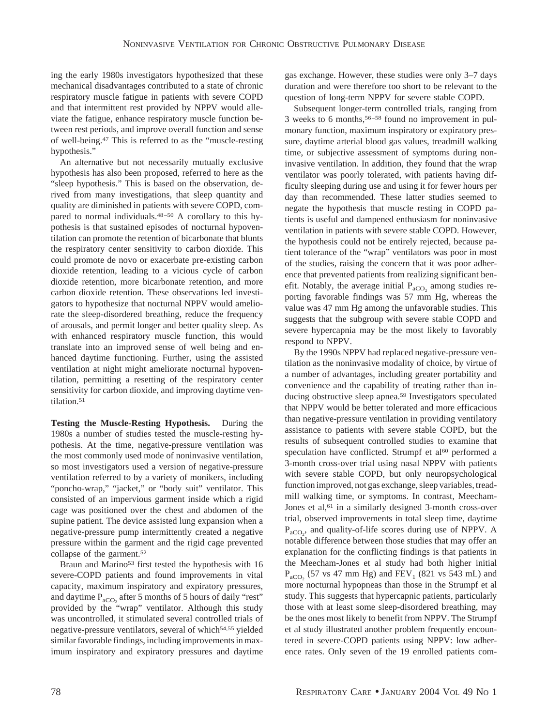ing the early 1980s investigators hypothesized that these mechanical disadvantages contributed to a state of chronic respiratory muscle fatigue in patients with severe COPD and that intermittent rest provided by NPPV would alleviate the fatigue, enhance respiratory muscle function between rest periods, and improve overall function and sense of well-being.47 This is referred to as the "muscle-resting hypothesis."

An alternative but not necessarily mutually exclusive hypothesis has also been proposed, referred to here as the "sleep hypothesis." This is based on the observation, derived from many investigations, that sleep quantity and quality are diminished in patients with severe COPD, compared to normal individuals.48–50 A corollary to this hypothesis is that sustained episodes of nocturnal hypoventilation can promote the retention of bicarbonate that blunts the respiratory center sensitivity to carbon dioxide. This could promote de novo or exacerbate pre-existing carbon dioxide retention, leading to a vicious cycle of carbon dioxide retention, more bicarbonate retention, and more carbon dioxide retention. These observations led investigators to hypothesize that nocturnal NPPV would ameliorate the sleep-disordered breathing, reduce the frequency of arousals, and permit longer and better quality sleep. As with enhanced respiratory muscle function, this would translate into an improved sense of well being and enhanced daytime functioning. Further, using the assisted ventilation at night might ameliorate nocturnal hypoventilation, permitting a resetting of the respiratory center sensitivity for carbon dioxide, and improving daytime ventilation.<sup>51</sup>

**Testing the Muscle-Resting Hypothesis.** During the 1980s a number of studies tested the muscle-resting hypothesis. At the time, negative-pressure ventilation was the most commonly used mode of noninvasive ventilation, so most investigators used a version of negative-pressure ventilation referred to by a variety of monikers, including "poncho-wrap," "jacket," or "body suit" ventilator. This consisted of an impervious garment inside which a rigid cage was positioned over the chest and abdomen of the supine patient. The device assisted lung expansion when a negative-pressure pump intermittently created a negative pressure within the garment and the rigid cage prevented collapse of the garment.<sup>52</sup>

Braun and Marino<sup>53</sup> first tested the hypothesis with 16 severe-COPD patients and found improvements in vital capacity, maximum inspiratory and expiratory pressures, and daytime  $P_{aCO_2}$  after 5 months of 5 hours of daily "rest" provided by the "wrap" ventilator. Although this study was uncontrolled, it stimulated several controlled trials of negative-pressure ventilators, several of which<sup>54,55</sup> yielded similar favorable findings, including improvements in maximum inspiratory and expiratory pressures and daytime

gas exchange. However, these studies were only 3–7 days duration and were therefore too short to be relevant to the question of long-term NPPV for severe stable COPD.

Subsequent longer-term controlled trials, ranging from 3 weeks to 6 months,56–58 found no improvement in pulmonary function, maximum inspiratory or expiratory pressure, daytime arterial blood gas values, treadmill walking time, or subjective assessment of symptoms during noninvasive ventilation. In addition, they found that the wrap ventilator was poorly tolerated, with patients having difficulty sleeping during use and using it for fewer hours per day than recommended. These latter studies seemed to negate the hypothesis that muscle resting in COPD patients is useful and dampened enthusiasm for noninvasive ventilation in patients with severe stable COPD. However, the hypothesis could not be entirely rejected, because patient tolerance of the "wrap" ventilators was poor in most of the studies, raising the concern that it was poor adherence that prevented patients from realizing significant benefit. Notably, the average initial  $P_{aCO_2}$  among studies reporting favorable findings was 57 mm Hg, whereas the value was 47 mm Hg among the unfavorable studies. This suggests that the subgroup with severe stable COPD and severe hypercapnia may be the most likely to favorably respond to NPPV.

By the 1990s NPPV had replaced negative-pressure ventilation as the noninvasive modality of choice, by virtue of a number of advantages, including greater portability and convenience and the capability of treating rather than inducing obstructive sleep apnea.59 Investigators speculated that NPPV would be better tolerated and more efficacious than negative-pressure ventilation in providing ventilatory assistance to patients with severe stable COPD, but the results of subsequent controlled studies to examine that speculation have conflicted. Strumpf et al<sup>60</sup> performed a 3-month cross-over trial using nasal NPPV with patients with severe stable COPD, but only neuropsychological function improved, not gas exchange, sleep variables, treadmill walking time, or symptoms. In contrast, Meecham-Jones et al,<sup>61</sup> in a similarly designed 3-month cross-over trial, observed improvements in total sleep time, daytime  $P_{aCO_2}$ , and quality-of-life scores during use of NPPV. A notable difference between those studies that may offer an explanation for the conflicting findings is that patients in the Meecham-Jones et al study had both higher initial  $P_{aCO_2}$  (57 vs 47 mm Hg) and FEV<sub>1</sub> (821 vs 543 mL) and more nocturnal hypopneas than those in the Strumpf et al study. This suggests that hypercapnic patients, particularly those with at least some sleep-disordered breathing, may be the ones most likely to benefit from NPPV. The Strumpf et al study illustrated another problem frequently encountered in severe-COPD patients using NPPV: low adherence rates. Only seven of the 19 enrolled patients com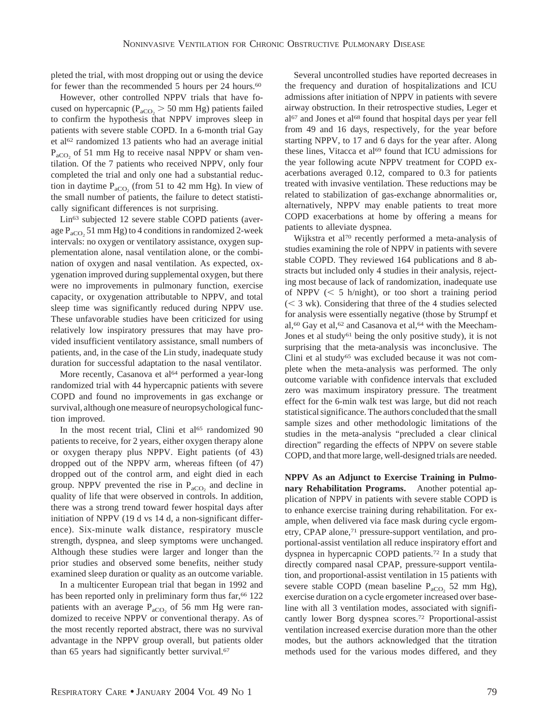pleted the trial, with most dropping out or using the device for fewer than the recommended 5 hours per 24 hours.<sup>60</sup>

However, other controlled NPPV trials that have focused on hypercapnic ( $P_{\text{aCO}_2}$  > 50 mm Hg) patients failed to confirm the hypothesis that NPPV improves sleep in patients with severe stable COPD. In a 6-month trial Gay et al<sup>62</sup> randomized 13 patients who had an average initial  $P_{aCO_2}$  of 51 mm Hg to receive nasal NPPV or sham ventilation. Of the 7 patients who received NPPV, only four completed the trial and only one had a substantial reduction in daytime  $P_{aCO_2}$  (from 51 to 42 mm Hg). In view of the small number of patients, the failure to detect statistically significant differences is not surprising.

Lin63 subjected 12 severe stable COPD patients (average  $P_{\text{aCO}_2}$  51 mm Hg) to 4 conditions in randomized 2-week intervals: no oxygen or ventilatory assistance, oxygen supplementation alone, nasal ventilation alone, or the combination of oxygen and nasal ventilation. As expected, oxygenation improved during supplemental oxygen, but there were no improvements in pulmonary function, exercise capacity, or oxygenation attributable to NPPV, and total sleep time was significantly reduced during NPPV use. These unfavorable studies have been criticized for using relatively low inspiratory pressures that may have provided insufficient ventilatory assistance, small numbers of patients, and, in the case of the Lin study, inadequate study duration for successful adaptation to the nasal ventilator.

More recently, Casanova et al<sup>64</sup> performed a year-long randomized trial with 44 hypercapnic patients with severe COPD and found no improvements in gas exchange or survival, although one measure of neuropsychological function improved.

In the most recent trial, Clini et al<sup>65</sup> randomized 90 patients to receive, for 2 years, either oxygen therapy alone or oxygen therapy plus NPPV. Eight patients (of 43) dropped out of the NPPV arm, whereas fifteen (of 47) dropped out of the control arm, and eight died in each group. NPPV prevented the rise in  $P_{aCO_2}$  and decline in quality of life that were observed in controls. In addition, there was a strong trend toward fewer hospital days after initiation of NPPV (19 d vs 14 d, a non-significant difference). Six-minute walk distance, respiratory muscle strength, dyspnea, and sleep symptoms were unchanged. Although these studies were larger and longer than the prior studies and observed some benefits, neither study examined sleep duration or quality as an outcome variable.

In a multicenter European trial that began in 1992 and has been reported only in preliminary form thus  $far,66$  122 patients with an average  $P_{aCO_2}$  of 56 mm Hg were randomized to receive NPPV or conventional therapy. As of the most recently reported abstract, there was no survival advantage in the NPPV group overall, but patients older than 65 years had significantly better survival.<sup>67</sup>

Several uncontrolled studies have reported decreases in the frequency and duration of hospitalizations and ICU admissions after initiation of NPPV in patients with severe airway obstruction. In their retrospective studies, Leger et al<sup>67</sup> and Jones et al<sup>68</sup> found that hospital days per year fell from 49 and 16 days, respectively, for the year before starting NPPV, to 17 and 6 days for the year after. Along these lines, Vitacca et al<sup>69</sup> found that ICU admissions for the year following acute NPPV treatment for COPD exacerbations averaged 0.12, compared to 0.3 for patients treated with invasive ventilation. These reductions may be related to stabilization of gas-exchange abnormalities or, alternatively, NPPV may enable patients to treat more COPD exacerbations at home by offering a means for patients to alleviate dyspnea.

Wijkstra et al70 recently performed a meta-analysis of studies examining the role of NPPV in patients with severe stable COPD. They reviewed 164 publications and 8 abstracts but included only 4 studies in their analysis, rejecting most because of lack of randomization, inadequate use of NPPV  $\langle \leq 5 \text{ h/night} \rangle$ , or too short a training period  $(< 3$  wk). Considering that three of the 4 studies selected for analysis were essentially negative (those by Strumpf et al,<sup>60</sup> Gay et al,<sup>62</sup> and Casanova et al,<sup>64</sup> with the Meecham-Jones et al study<sup>61</sup> being the only positive study), it is not surprising that the meta-analysis was inconclusive. The Clini et al study<sup>65</sup> was excluded because it was not complete when the meta-analysis was performed. The only outcome variable with confidence intervals that excluded zero was maximum inspiratory pressure. The treatment effect for the 6-min walk test was large, but did not reach statistical significance. The authors concluded that the small sample sizes and other methodologic limitations of the studies in the meta-analysis "precluded a clear clinical direction" regarding the effects of NPPV on severe stable COPD, and that more large, well-designed trials are needed.

**NPPV As an Adjunct to Exercise Training in Pulmonary Rehabilitation Programs.** Another potential application of NPPV in patients with severe stable COPD is to enhance exercise training during rehabilitation. For example, when delivered via face mask during cycle ergometry, CPAP alone,<sup>71</sup> pressure-support ventilation, and proportional-assist ventilation all reduce inspiratory effort and dyspnea in hypercapnic COPD patients.72 In a study that directly compared nasal CPAP, pressure-support ventilation, and proportional-assist ventilation in 15 patients with severe stable COPD (mean baseline  $P_{aCO_2}$  52 mm Hg), exercise duration on a cycle ergometer increased over baseline with all 3 ventilation modes, associated with significantly lower Borg dyspnea scores.72 Proportional-assist ventilation increased exercise duration more than the other modes, but the authors acknowledged that the titration methods used for the various modes differed, and they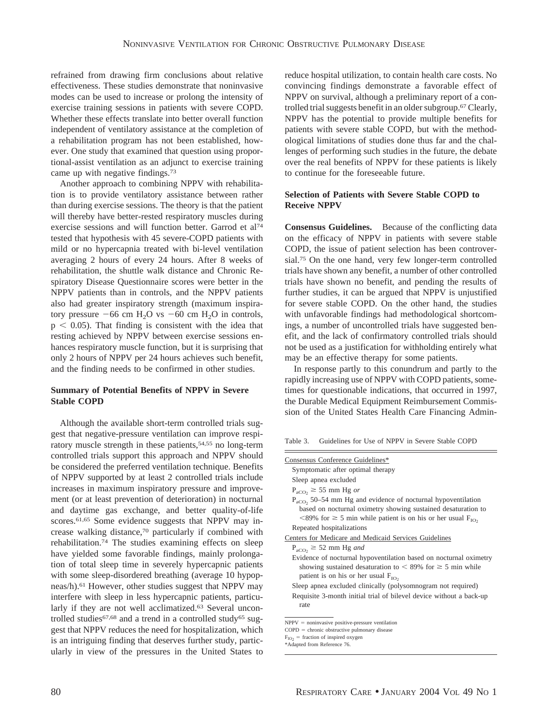refrained from drawing firm conclusions about relative effectiveness. These studies demonstrate that noninvasive modes can be used to increase or prolong the intensity of exercise training sessions in patients with severe COPD. Whether these effects translate into better overall function independent of ventilatory assistance at the completion of a rehabilitation program has not been established, however. One study that examined that question using proportional-assist ventilation as an adjunct to exercise training came up with negative findings.73

Another approach to combining NPPV with rehabilitation is to provide ventilatory assistance between rather than during exercise sessions. The theory is that the patient will thereby have better-rested respiratory muscles during exercise sessions and will function better. Garrod et al74 tested that hypothesis with 45 severe-COPD patients with mild or no hypercapnia treated with bi-level ventilation averaging 2 hours of every 24 hours. After 8 weeks of rehabilitation, the shuttle walk distance and Chronic Respiratory Disease Questionnaire scores were better in the NPPV patients than in controls, and the NPPV patients also had greater inspiratory strength (maximum inspiratory pressure  $-66$  cm H<sub>2</sub>O vs  $-60$  cm H<sub>2</sub>O in controls,  $p < 0.05$ ). That finding is consistent with the idea that resting achieved by NPPV between exercise sessions enhances respiratory muscle function, but it is surprising that only 2 hours of NPPV per 24 hours achieves such benefit, and the finding needs to be confirmed in other studies.

# **Summary of Potential Benefits of NPPV in Severe Stable COPD**

Although the available short-term controlled trials suggest that negative-pressure ventilation can improve respiratory muscle strength in these patients, 54,55 no long-term controlled trials support this approach and NPPV should be considered the preferred ventilation technique. Benefits of NPPV supported by at least 2 controlled trials include increases in maximum inspiratory pressure and improvement (or at least prevention of deterioration) in nocturnal and daytime gas exchange, and better quality-of-life scores.<sup>61,65</sup> Some evidence suggests that NPPV may increase walking distance,70 particularly if combined with rehabilitation.74 The studies examining effects on sleep have yielded some favorable findings, mainly prolongation of total sleep time in severely hypercapnic patients with some sleep-disordered breathing (average 10 hypopneas/h).61 However, other studies suggest that NPPV may interfere with sleep in less hypercapnic patients, particularly if they are not well acclimatized.<sup>63</sup> Several uncontrolled studies $67,68$  and a trend in a controlled study $65$  suggest that NPPV reduces the need for hospitalization, which is an intriguing finding that deserves further study, particularly in view of the pressures in the United States to reduce hospital utilization, to contain health care costs. No convincing findings demonstrate a favorable effect of NPPV on survival, although a preliminary report of a controlled trial suggests benefit in an older subgroup.67Clearly, NPPV has the potential to provide multiple benefits for patients with severe stable COPD, but with the methodological limitations of studies done thus far and the challenges of performing such studies in the future, the debate over the real benefits of NPPV for these patients is likely to continue for the foreseeable future.

# **Selection of Patients with Severe Stable COPD to Receive NPPV**

**Consensus Guidelines.** Because of the conflicting data on the efficacy of NPPV in patients with severe stable COPD, the issue of patient selection has been controversial.75 On the one hand, very few longer-term controlled trials have shown any benefit, a number of other controlled trials have shown no benefit, and pending the results of further studies, it can be argued that NPPV is unjustified for severe stable COPD. On the other hand, the studies with unfavorable findings had methodological shortcomings, a number of uncontrolled trials have suggested benefit, and the lack of confirmatory controlled trials should not be used as a justification for withholding entirely what may be an effective therapy for some patients.

In response partly to this conundrum and partly to the rapidly increasing use of NPPV with COPD patients, sometimes for questionable indications, that occurred in 1997, the Durable Medical Equipment Reimbursement Commission of the United States Health Care Financing Admin-

Table 3. Guidelines for Use of NPPV in Severe Stable COPD

| Consensus Conference Guidelines*                                                                                                                                                                                |
|-----------------------------------------------------------------------------------------------------------------------------------------------------------------------------------------------------------------|
| Symptomatic after optimal therapy                                                                                                                                                                               |
| Sleep apnea excluded                                                                                                                                                                                            |
| $P_{\text{aCO}_2} \geq 55$ mm Hg or                                                                                                                                                                             |
| $P_{\rm aCO}$ , 50–54 mm Hg and evidence of nocturnal hypoventilation<br>based on nocturnal oximetry showing sustained desaturation to<br><89% for $\geq$ 5 min while patient is on his or her usual $F_{IO}$ , |
| Repeated hospitalizations                                                                                                                                                                                       |
| Centers for Medicare and Medicaid Services Guidelines                                                                                                                                                           |
| $P_{\text{aCO}_2} \geq 52 \text{ mm Hg}$ and                                                                                                                                                                    |
| Evidence of nocturnal hypoventilation based on nocturnal oximetry                                                                                                                                               |
| showing sustained desaturation to $\leq 89\%$ for $\geq 5$ min while                                                                                                                                            |
| patient is on his or her usual $F_{IO}$ ,                                                                                                                                                                       |
| Sleep apnea excluded clinically (polysomnogram not required)                                                                                                                                                    |
| Requisite 3-month initial trial of bilevel device without a back-up<br>rate                                                                                                                                     |
| $NPPV = noninvasive positive-pressure ventilation$<br>$\alpha$                                                                                                                                                  |

 $COPD =$  chronic obstructive pulmonary disease

 $F_{IO2}$  = fraction of inspired oxygen

<sup>\*</sup>Adapted from Reference 76.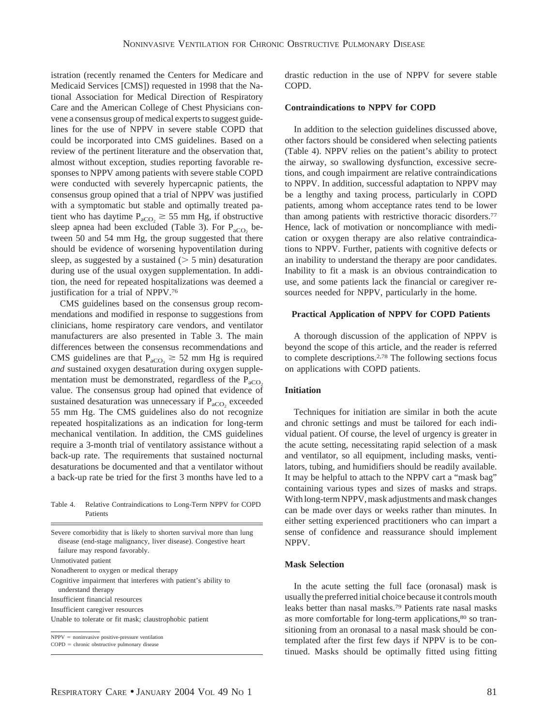istration (recently renamed the Centers for Medicare and Medicaid Services [CMS]) requested in 1998 that the National Association for Medical Direction of Respiratory Care and the American College of Chest Physicians convene a consensus group of medical experts to suggest guidelines for the use of NPPV in severe stable COPD that could be incorporated into CMS guidelines. Based on a review of the pertinent literature and the observation that, almost without exception, studies reporting favorable responses to NPPV among patients with severe stable COPD were conducted with severely hypercapnic patients, the consensus group opined that a trial of NPPV was justified with a symptomatic but stable and optimally treated patient who has daytime  $P_{aCO_2} \ge 55$  mm Hg, if obstructive sleep apnea had been excluded (Table 3). For  $P_{aCO}$  between 50 and 54 mm Hg, the group suggested that there should be evidence of worsening hypoventilation during sleep, as suggested by a sustained ( $> 5$  min) desaturation during use of the usual oxygen supplementation. In addition, the need for repeated hospitalizations was deemed a justification for a trial of NPPV.76

CMS guidelines based on the consensus group recommendations and modified in response to suggestions from clinicians, home respiratory care vendors, and ventilator manufacturers are also presented in Table 3. The main differences between the consensus recommendations and CMS guidelines are that  $P_{aCO_2} \geq 52$  mm Hg is required *and* sustained oxygen desaturation during oxygen supplementation must be demonstrated, regardless of the  $P_{aCO}$ value. The consensus group had opined that evidence of sustained desaturation was unnecessary if  $P_{aCO_2}$  exceeded 55 mm Hg. The CMS guidelines also do not recognize repeated hospitalizations as an indication for long-term mechanical ventilation. In addition, the CMS guidelines require a 3-month trial of ventilatory assistance without a back-up rate. The requirements that sustained nocturnal desaturations be documented and that a ventilator without a back-up rate be tried for the first 3 months have led to a

Table 4. Relative Contraindications to Long-Term NPPV for COPD Patients

Severe comorbidity that is likely to shorten survival more than lung disease (end-stage malignancy, liver disease). Congestive heart failure may respond favorably.

Unmotivated patient

Nonadherent to oxygen or medical therapy

Cognitive impairment that interferes with patient's ability to

understand therapy

Insufficient financial resources

Insufficient caregiver resources

Unable to tolerate or fit mask; claustrophobic patient

 $NPPV = noninvasive positive-pressure ventilation$ 

 $COPD =$  chronic obstructive pulmonary disease

drastic reduction in the use of NPPV for severe stable COPD.

#### **Contraindications to NPPV for COPD**

In addition to the selection guidelines discussed above, other factors should be considered when selecting patients (Table 4). NPPV relies on the patient's ability to protect the airway, so swallowing dysfunction, excessive secretions, and cough impairment are relative contraindications to NPPV. In addition, successful adaptation to NPPV may be a lengthy and taxing process, particularly in COPD patients, among whom acceptance rates tend to be lower than among patients with restrictive thoracic disorders.77 Hence, lack of motivation or noncompliance with medication or oxygen therapy are also relative contraindications to NPPV. Further, patients with cognitive defects or an inability to understand the therapy are poor candidates. Inability to fit a mask is an obvious contraindication to use, and some patients lack the financial or caregiver resources needed for NPPV, particularly in the home.

## **Practical Application of NPPV for COPD Patients**

A thorough discussion of the application of NPPV is beyond the scope of this article, and the reader is referred to complete descriptions.2,78 The following sections focus on applications with COPD patients.

## **Initiation**

Techniques for initiation are similar in both the acute and chronic settings and must be tailored for each individual patient. Of course, the level of urgency is greater in the acute setting, necessitating rapid selection of a mask and ventilator, so all equipment, including masks, ventilators, tubing, and humidifiers should be readily available. It may be helpful to attach to the NPPV cart a "mask bag" containing various types and sizes of masks and straps. With long-term NPPV, mask adjustments and mask changes can be made over days or weeks rather than minutes. In either setting experienced practitioners who can impart a sense of confidence and reassurance should implement NPPV.

#### **Mask Selection**

In the acute setting the full face (oronasal) mask is usually the preferred initial choice because it controls mouth leaks better than nasal masks.79 Patients rate nasal masks as more comfortable for long-term applications,<sup>80</sup> so transitioning from an oronasal to a nasal mask should be contemplated after the first few days if NPPV is to be continued. Masks should be optimally fitted using fitting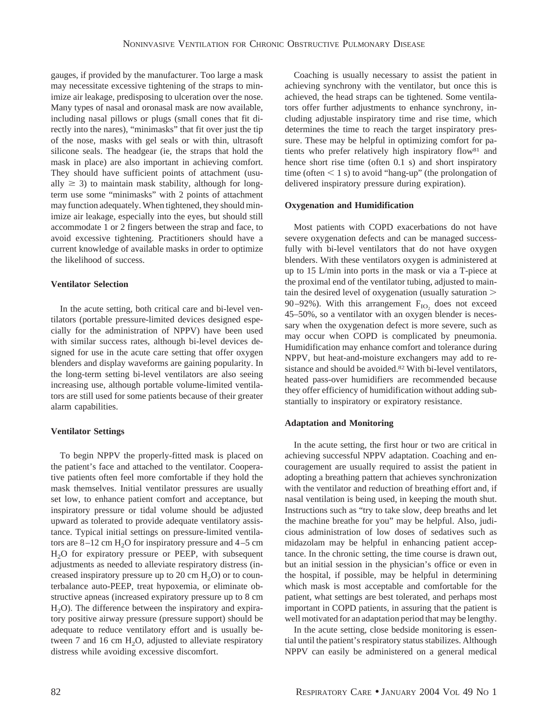gauges, if provided by the manufacturer. Too large a mask may necessitate excessive tightening of the straps to minimize air leakage, predisposing to ulceration over the nose. Many types of nasal and oronasal mask are now available, including nasal pillows or plugs (small cones that fit directly into the nares), "minimasks" that fit over just the tip of the nose, masks with gel seals or with thin, ultrasoft silicone seals. The headgear (ie, the straps that hold the mask in place) are also important in achieving comfort. They should have sufficient points of attachment (usually  $\geq$  3) to maintain mask stability, although for longterm use some "minimasks" with 2 points of attachment may function adequately. When tightened, they should minimize air leakage, especially into the eyes, but should still accommodate 1 or 2 fingers between the strap and face, to avoid excessive tightening. Practitioners should have a current knowledge of available masks in order to optimize the likelihood of success.

## **Ventilator Selection**

In the acute setting, both critical care and bi-level ventilators (portable pressure-limited devices designed especially for the administration of NPPV) have been used with similar success rates, although bi-level devices designed for use in the acute care setting that offer oxygen blenders and display waveforms are gaining popularity. In the long-term setting bi-level ventilators are also seeing increasing use, although portable volume-limited ventilators are still used for some patients because of their greater alarm capabilities.

## **Ventilator Settings**

To begin NPPV the properly-fitted mask is placed on the patient's face and attached to the ventilator. Cooperative patients often feel more comfortable if they hold the mask themselves. Initial ventilator pressures are usually set low, to enhance patient comfort and acceptance, but inspiratory pressure or tidal volume should be adjusted upward as tolerated to provide adequate ventilatory assistance. Typical initial settings on pressure-limited ventilators are  $8-12$  cm H<sub>2</sub>O for inspiratory pressure and  $4-5$  cm H2O for expiratory pressure or PEEP, with subsequent adjustments as needed to alleviate respiratory distress (increased inspiratory pressure up to  $20 \text{ cm H}_2\text{O}$  or to counterbalance auto-PEEP, treat hypoxemia, or eliminate obstructive apneas (increased expiratory pressure up to 8 cm  $H<sub>2</sub>O$ ). The difference between the inspiratory and expiratory positive airway pressure (pressure support) should be adequate to reduce ventilatory effort and is usually between 7 and 16 cm  $H_2O$ , adjusted to alleviate respiratory distress while avoiding excessive discomfort.

Coaching is usually necessary to assist the patient in achieving synchrony with the ventilator, but once this is achieved, the head straps can be tightened. Some ventilators offer further adjustments to enhance synchrony, including adjustable inspiratory time and rise time, which determines the time to reach the target inspiratory pressure. These may be helpful in optimizing comfort for patients who prefer relatively high inspiratory flow81 and hence short rise time (often 0.1 s) and short inspiratory time (often  $\leq 1$  s) to avoid "hang-up" (the prolongation of delivered inspiratory pressure during expiration).

## **Oxygenation and Humidification**

Most patients with COPD exacerbations do not have severe oxygenation defects and can be managed successfully with bi-level ventilators that do not have oxygen blenders. With these ventilators oxygen is administered at up to 15 L/min into ports in the mask or via a T-piece at the proximal end of the ventilator tubing, adjusted to maintain the desired level of oxygenation (usually saturation 90–92%). With this arrangement  $F_{IO}$  does not exceed 45–50%, so a ventilator with an oxygen blender is necessary when the oxygenation defect is more severe, such as may occur when COPD is complicated by pneumonia. Humidification may enhance comfort and tolerance during NPPV, but heat-and-moisture exchangers may add to resistance and should be avoided.82 With bi-level ventilators, heated pass-over humidifiers are recommended because they offer efficiency of humidification without adding substantially to inspiratory or expiratory resistance.

## **Adaptation and Monitoring**

In the acute setting, the first hour or two are critical in achieving successful NPPV adaptation. Coaching and encouragement are usually required to assist the patient in adopting a breathing pattern that achieves synchronization with the ventilator and reduction of breathing effort and, if nasal ventilation is being used, in keeping the mouth shut. Instructions such as "try to take slow, deep breaths and let the machine breathe for you" may be helpful. Also, judicious administration of low doses of sedatives such as midazolam may be helpful in enhancing patient acceptance. In the chronic setting, the time course is drawn out, but an initial session in the physician's office or even in the hospital, if possible, may be helpful in determining which mask is most acceptable and comfortable for the patient, what settings are best tolerated, and perhaps most important in COPD patients, in assuring that the patient is well motivated for an adaptation period that may be lengthy.

In the acute setting, close bedside monitoring is essential until the patient's respiratory status stabilizes. Although NPPV can easily be administered on a general medical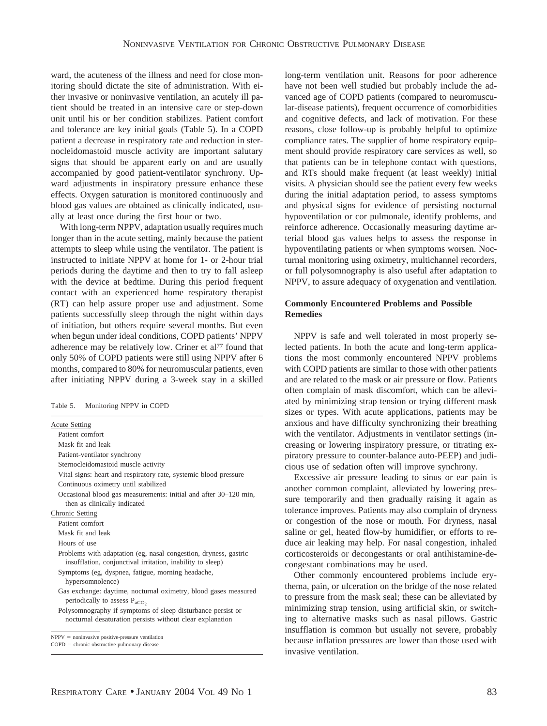ward, the acuteness of the illness and need for close monitoring should dictate the site of administration. With either invasive or noninvasive ventilation, an acutely ill patient should be treated in an intensive care or step-down unit until his or her condition stabilizes. Patient comfort and tolerance are key initial goals (Table 5). In a COPD patient a decrease in respiratory rate and reduction in sternocleidomastoid muscle activity are important salutary signs that should be apparent early on and are usually accompanied by good patient-ventilator synchrony. Upward adjustments in inspiratory pressure enhance these effects. Oxygen saturation is monitored continuously and blood gas values are obtained as clinically indicated, usually at least once during the first hour or two.

With long-term NPPV, adaptation usually requires much longer than in the acute setting, mainly because the patient attempts to sleep while using the ventilator. The patient is instructed to initiate NPPV at home for 1- or 2-hour trial periods during the daytime and then to try to fall asleep with the device at bedtime. During this period frequent contact with an experienced home respiratory therapist (RT) can help assure proper use and adjustment. Some patients successfully sleep through the night within days of initiation, but others require several months. But even when begun under ideal conditions, COPD patients' NPPV adherence may be relatively low. Criner et al<sup>77</sup> found that only 50% of COPD patients were still using NPPV after 6 months, compared to 80% for neuromuscular patients, even after initiating NPPV during a 3-week stay in a skilled

Table 5. Monitoring NPPV in COPD

| <b>Acute Setting</b>                                                                                                           |
|--------------------------------------------------------------------------------------------------------------------------------|
| Patient comfort                                                                                                                |
| Mask fit and leak                                                                                                              |
| Patient-ventilator synchrony                                                                                                   |
| Sternocleidomastoid muscle activity                                                                                            |
| Vital signs: heart and respiratory rate, systemic blood pressure                                                               |
| Continuous oximetry until stabilized                                                                                           |
| Occasional blood gas measurements: initial and after 30–120 min,<br>then as clinically indicated                               |
| Chronic Setting                                                                                                                |
| Patient comfort                                                                                                                |
| Mask fit and leak                                                                                                              |
| Hours of use                                                                                                                   |
| Problems with adaptation (eg, nasal congestion, dryness, gastric<br>insufflation, conjunctival irritation, inability to sleep) |
| Symptoms (eg, dyspnea, fatigue, morning headache,<br>hypersomnolence)                                                          |
| Gas exchange: daytime, nocturnal oximetry, blood gases measured<br>periodically to assess $P_{aCO}$ ,                          |
| Polysomnography if symptoms of sleep disturbance persist or<br>nocturnal desaturation persists without clear explanation       |

 $NPPV = noninvasive positive-pressure ventilation$ 

long-term ventilation unit. Reasons for poor adherence have not been well studied but probably include the advanced age of COPD patients (compared to neuromuscular-disease patients), frequent occurrence of comorbidities and cognitive defects, and lack of motivation. For these reasons, close follow-up is probably helpful to optimize compliance rates. The supplier of home respiratory equipment should provide respiratory care services as well, so that patients can be in telephone contact with questions, and RTs should make frequent (at least weekly) initial visits. A physician should see the patient every few weeks during the initial adaptation period, to assess symptoms and physical signs for evidence of persisting nocturnal hypoventilation or cor pulmonale, identify problems, and reinforce adherence. Occasionally measuring daytime arterial blood gas values helps to assess the response in hypoventilating patients or when symptoms worsen. Nocturnal monitoring using oximetry, multichannel recorders, or full polysomnography is also useful after adaptation to NPPV, to assure adequacy of oxygenation and ventilation.

# **Commonly Encountered Problems and Possible Remedies**

NPPV is safe and well tolerated in most properly selected patients. In both the acute and long-term applications the most commonly encountered NPPV problems with COPD patients are similar to those with other patients and are related to the mask or air pressure or flow. Patients often complain of mask discomfort, which can be alleviated by minimizing strap tension or trying different mask sizes or types. With acute applications, patients may be anxious and have difficulty synchronizing their breathing with the ventilator. Adjustments in ventilator settings (increasing or lowering inspiratory pressure, or titrating expiratory pressure to counter-balance auto-PEEP) and judicious use of sedation often will improve synchrony.

Excessive air pressure leading to sinus or ear pain is another common complaint, alleviated by lowering pressure temporarily and then gradually raising it again as tolerance improves. Patients may also complain of dryness or congestion of the nose or mouth. For dryness, nasal saline or gel, heated flow-by humidifier, or efforts to reduce air leaking may help. For nasal congestion, inhaled corticosteroids or decongestants or oral antihistamine-decongestant combinations may be used.

Other commonly encountered problems include erythema, pain, or ulceration on the bridge of the nose related to pressure from the mask seal; these can be alleviated by minimizing strap tension, using artificial skin, or switching to alternative masks such as nasal pillows. Gastric insufflation is common but usually not severe, probably because inflation pressures are lower than those used with invasive ventilation.

 $COPD =$  chronic obstructive pulmonary disease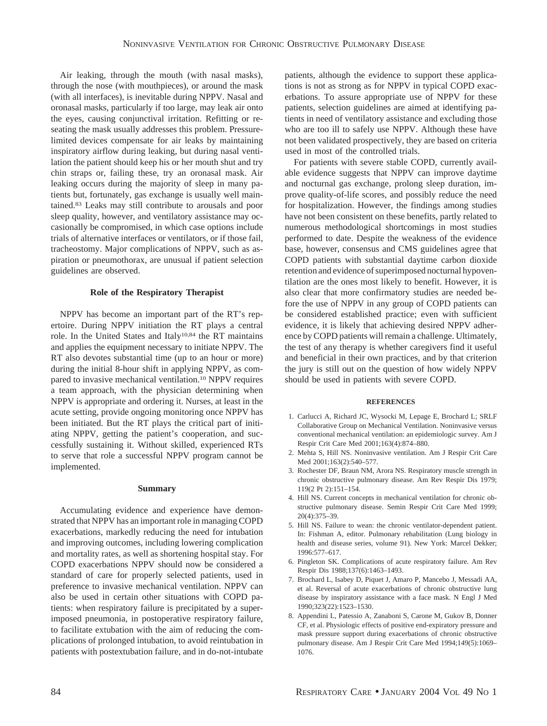Air leaking, through the mouth (with nasal masks), through the nose (with mouthpieces), or around the mask (with all interfaces), is inevitable during NPPV. Nasal and oronasal masks, particularly if too large, may leak air onto the eyes, causing conjunctival irritation. Refitting or reseating the mask usually addresses this problem. Pressurelimited devices compensate for air leaks by maintaining inspiratory airflow during leaking, but during nasal ventilation the patient should keep his or her mouth shut and try chin straps or, failing these, try an oronasal mask. Air leaking occurs during the majority of sleep in many patients but, fortunately, gas exchange is usually well maintained.83 Leaks may still contribute to arousals and poor sleep quality, however, and ventilatory assistance may occasionally be compromised, in which case options include trials of alternative interfaces or ventilators, or if those fail, tracheostomy. Major complications of NPPV, such as aspiration or pneumothorax, are unusual if patient selection guidelines are observed.

## **Role of the Respiratory Therapist**

NPPV has become an important part of the RT's repertoire. During NPPV initiation the RT plays a central role. In the United States and Italy<sup>10,84</sup> the RT maintains and applies the equipment necessary to initiate NPPV. The RT also devotes substantial time (up to an hour or more) during the initial 8-hour shift in applying NPPV, as compared to invasive mechanical ventilation.10 NPPV requires a team approach, with the physician determining when NPPV is appropriate and ordering it. Nurses, at least in the acute setting, provide ongoing monitoring once NPPV has been initiated. But the RT plays the critical part of initiating NPPV, getting the patient's cooperation, and successfully sustaining it. Without skilled, experienced RTs to serve that role a successful NPPV program cannot be implemented.

## **Summary**

Accumulating evidence and experience have demonstrated that NPPV has an important role in managing COPD exacerbations, markedly reducing the need for intubation and improving outcomes, including lowering complication and mortality rates, as well as shortening hospital stay. For COPD exacerbations NPPV should now be considered a standard of care for properly selected patients, used in preference to invasive mechanical ventilation. NPPV can also be used in certain other situations with COPD patients: when respiratory failure is precipitated by a superimposed pneumonia, in postoperative respiratory failure, to facilitate extubation with the aim of reducing the complications of prolonged intubation, to avoid reintubation in patients with postextubation failure, and in do-not-intubate patients, although the evidence to support these applications is not as strong as for NPPV in typical COPD exacerbations. To assure appropriate use of NPPV for these patients, selection guidelines are aimed at identifying patients in need of ventilatory assistance and excluding those who are too ill to safely use NPPV. Although these have not been validated prospectively, they are based on criteria used in most of the controlled trials.

For patients with severe stable COPD, currently available evidence suggests that NPPV can improve daytime and nocturnal gas exchange, prolong sleep duration, improve quality-of-life scores, and possibly reduce the need for hospitalization. However, the findings among studies have not been consistent on these benefits, partly related to numerous methodological shortcomings in most studies performed to date. Despite the weakness of the evidence base, however, consensus and CMS guidelines agree that COPD patients with substantial daytime carbon dioxide retention and evidence of superimposed nocturnal hypoventilation are the ones most likely to benefit. However, it is also clear that more confirmatory studies are needed before the use of NPPV in any group of COPD patients can be considered established practice; even with sufficient evidence, it is likely that achieving desired NPPV adherence by COPD patients will remain a challenge. Ultimately, the test of any therapy is whether caregivers find it useful and beneficial in their own practices, and by that criterion the jury is still out on the question of how widely NPPV should be used in patients with severe COPD.

## **REFERENCES**

- 1. Carlucci A, Richard JC, Wysocki M, Lepage E, Brochard L; SRLF Collaborative Group on Mechanical Ventilation. Noninvasive versus conventional mechanical ventilation: an epidemiologic survey. Am J Respir Crit Care Med 2001;163(4):874–880.
- 2. Mehta S, Hill NS. Noninvasive ventilation. Am J Respir Crit Care Med 2001;163(2):540–577.
- 3. Rochester DF, Braun NM, Arora NS. Respiratory muscle strength in chronic obstructive pulmonary disease. Am Rev Respir Dis 1979; 119(2 Pt 2):151–154.
- 4. Hill NS. Current concepts in mechanical ventilation for chronic obstructive pulmonary disease. Semin Respir Crit Care Med 1999;  $20(4)$ : 375–39.
- 5. Hill NS. Failure to wean: the chronic ventilator-dependent patient. In: Fishman A, editor. Pulmonary rehabilitation (Lung biology in health and disease series, volume 91). New York: Marcel Dekker; 1996:577–617.
- 6. Pingleton SK. Complications of acute respiratory failure. Am Rev Respir Dis 1988;137(6):1463–1493.
- 7. Brochard L, Isabey D, Piquet J, Amaro P, Mancebo J, Messadi AA, et al. Reversal of acute exacerbations of chronic obstructive lung disease by inspiratory assistance with a face mask. N Engl J Med 1990;323(22):1523–1530.
- 8. Appendini L, Patessio A, Zanaboni S, Carone M, Gukov B, Donner CF, et al. Physiologic effects of positive end-expiratory pressure and mask pressure support during exacerbations of chronic obstructive pulmonary disease. Am J Respir Crit Care Med 1994;149(5):1069– 1076.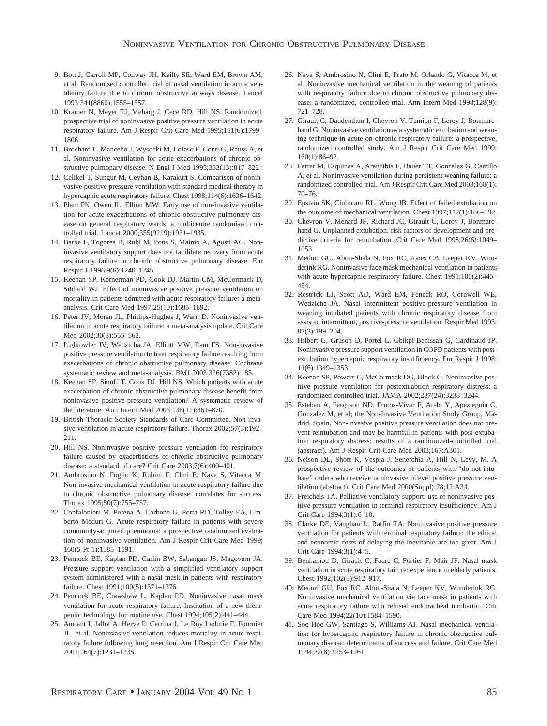- 9. Bott J, Carroll MP, Conway JH, Keilty SE, Ward EM, Brown AM, et al. Randomised controlled trial of nasal ventilation in acute ventilatory failure due to chronic obstructive airways disease. Lancet 1993;341(8860):1555–1557.
- 10. Kramer N, Meyer TJ, Meharg J, Cece RD, Hill NS. Randomized, prospective trial of noninvasive positive pressure ventilation in acute respiratory failure. Am J Respir Crit Care Med 1995;151(6):1799– 1806.
- 11. Brochard L, Mancebo J, Wysocki M, Lofaso F, Conti G, Rauss A, et al. Noninvasive ventilation for acute exacerbations of chronic obstructive pulmonary disease. N Engl J Med 1995;333(13):817–822 .
- 12. Celikel T, Sungur M, Ceyhan B, Karakurt S. Comparison of noninvasive positive pressure ventilation with standard medical therapy in hypercapnic acute respiratory failure. Chest 1998;114(6):1636–1642.
- 13. Plant PK, Owen JL, Elliott MW. Early use of non-invasive ventilation for acute exacerbations of chronic obstructive pulmonary disease on general respiratory wards: a multicentre randomised controlled trial. Lancet 2000;355(9219):1931–1935.
- 14. Barbe F, Togores B, Rubi M, Pons S, Maimo A, Agusti AG. Noninvasive ventilatory support does not facilitate recovery from acute respiratory failure in chronic obstructive pulmonary disease. Eur Respir J 1996;9(6):1240–1245.
- 15. Keenan SP, Kernerman PD, Cook DJ, Martin CM, McCormack D, Sibbald WJ. Effect of noninvasive positive pressure ventilation on mortality in patients admitted with acute respiratory failure: a metaanalysis. Crit Care Med 1997;25(10):1685–1692.
- 16. Peter JV, Moran JL, Phillips-Hughes J, Warn D. Noninvasive ventilation in acute respiratory failure: a meta-analysis update. Crit Care Med 2002;30(3):555–562.
- 17. Lightowler JV, Wedzicha JA, Elliott MW, Ram FS. Non-invasive positive pressure ventilation to treat respiratory failure resulting from exacerbations of chronic obstructive pulmonary disease: Cochrane systematic review and meta-analysis. BMJ 2003;326(7382):185.
- 18. Keenan SP, Sinuff T, Cook DJ, Hill NS. Which patients with acute exacerbation of chronic obstructive pulmonary disease benefit from noninvasive positive-pressure ventilation? A systematic review of the literature. Ann Intern Med 2003;138(11):861–870.
- 19. British Thoracic Society Standards of Care Committee. Non-invasive ventilation in acute respiratory failure. Thorax 2002;57(3):192– 211.
- 20. Hill NS. Noninvasive positive pressure ventilation for respiratory failure caused by exacerbations of chronic obstructive pulmonary disease: a standard of care? Crit Care 2003;7(6):400–401.
- 21. Ambrosino N, Foglio K, Rubini F, Clini E, Nava S, Vitacca M. Non-invasive mechanical ventilation in acute respiratory failure due to chronic obstructive pulmonary disease: correlates for success. Thorax 1995;50(7):755–757.
- 22. Confalonieri M, Potena A, Carbone G, Porta RD, Tolley EA, Umberto Meduri G. Acute respiratory failure in patients with severe community-acquired pneumonia: a prospective randomized evaluation of noninvasive ventilation. Am J Respir Crit Care Med 1999; 160(5 Pt 1):1585–1591.
- 23. Pennock BE, Kaplan PD, Carlin BW, Sabangan JS, Magovern JA. Pressure support ventilation with a simplified ventilatory support system administered with a nasal mask in patients with respiratory failure. Chest 1991;100(5):1371–1376.
- 24. Pennock BE, Crawshaw L, Kaplan PD. Noninvasive nasal mask ventilation for acute respiratory failure. Institution of a new therapeutic technology for routine use. Chest 1994;105(2):441–444.
- 25. Auriant I, Jallot A, Herve P, Cerrina J, Le Roy Ladurie F, Fournier JL, et al. Noninvasive ventilation reduces mortality in acute respiratory failure following lung resection. Am J Respir Crit Care Med 2001;164(7):1231–1235.
- 26. Nava S, Ambrosino N, Clini E, Prato M, Orlando G, Vitacca M, et al. Noninvasive mechanical ventilation in the weaning of patients with respiratory failure due to chronic obstructive pulmonary disease: a randomized, controlled trial. Ann Intern Med 1998;128(9): 721–728.
- 27. Girault C, Daudenthun I, Chevron V, Tamion F, Leroy J, Bonmarchand G. Noninvasive ventilation as a systematic extubation and weaning technique in acute-on-chronic respiratory failure: a prospective, randomized controlled study. Am J Respir Crit Care Med 1999; 160(1):86–92.
- 28. Ferrer M, Esquinas A, Arancibia F, Bauer TT, Gonzalez G, Carrillo A, et al. Noninvasive ventilation during persistent weaning failure: a randomized controlled trial. Am J Respir Crit Care Med 2003;168(1): 70–76.
- 29. Epstein SK, Ciubotaru RL, Wong JB. Effect of failed extubation on the outcome of mechanical ventilation. Chest 1997;112(1):186–192.
- 30. Chevron V, Menard JF, Richard JC, Girault C, Leroy J, Bonmarchand G. Unplanned extubation: risk factors of development and predictive criteria for reintubation. Crit Care Med 1998;26(6):1049– 1053.
- 31. Meduri GU, Abou-Shala N, Fox RC, Jones CB, Leeper KV, Wunderink RG. Noninvasive face mask mechanical ventilation in patients with acute hypercapnic respiratory failure. Chest 1991;100(2):445– 454.
- 32. Restrick LJ, Scott AD, Ward EM, Feneck RO, Cornwell WE, Wedzicha JA. Nasal intermittent positive-pressure ventilation in weaning intubated patients with chronic respiratory disease from assisted intermittent, positive-pressure ventilation. Respir Med 1993; 87(3):199–204.
- 33. Hilbert G, Gruson D, Portel L, Gbikpi-Benissan G, Cardinaud JP. Noninvasive pressure support ventilation in COPD patients with postextubation hypercapnic respiratory insufficiency. Eur Respir J 1998; 11(6):1349–1353.
- 34. Keenan SP, Powers C, McCormack DG, Block G. Noninvasive positive pressure ventilaiton for postextuabtion respiratory distress: a randomized controlled trial. JAMA 2002;287(24):3238–3244.
- 35. Esteban A, Ferguson ND, Frutos-Vivar F, Arabi Y, Apezteguia C, Gonzalez M, et al; the Non-Invasive Ventilation Study Group, Madrid, Spain. Non-invasive positive pressure ventilation does not prevent reintubation and may be harmful in patients with post-extubation respiratory distress: results of a randomized-controlled trial (abstract). Am J Respir Crit Care Med 2003;167:A301.
- 36. Nelson DL, Short K, Vespia J, Senerchia A, Hill N, Levy, M. A prospective review of the outcomes of patients with "do-not-intubate" orders who receive noninvasive bilevel positive pressure ventilation (abstract). Crit Care Med 2000(Suppl) 28;12:A34.
- 37. Freichels TA. Palliative ventilatory support: use of noninvasive positive pressure ventilation in terminal respiratory insufficiency. Am J Crit Care 1994;3(1):6–10.
- 38. Clarke DE, Vaughan L, Raffin TA. Noninvasive positive pressure ventilation for patients with terminal respiratory failure: the ethical and economic costs of delaying the inevitable are too great. Am J Crit Care 1994;3(1):4–5.
- 39. Benhamou D, Girault C, Faure C, Portier F, Muir JF. Nasal mask ventilation in acute respiratory failure: experience in elderly patients. Chest 1992;102(3):912–917.
- 40. Meduri GU, Fox RC, Abou-Shala N, Leeper KV, Wunderink RG. Noninvasive mechanical ventilation via face mask in patients with acute respiratory failure who refused endotracheal intubation. Crit Care Med 1994;22(10):1584–1590.
- 41. Soo Hoo GW, Santiago S, Williams AJ. Nasal mechanical ventilation for hypercapnic respiratory failure in chronic obstructive pulmonary disease: determinants of success and failure. Crit Care Med 1994;22(8):1253–1261.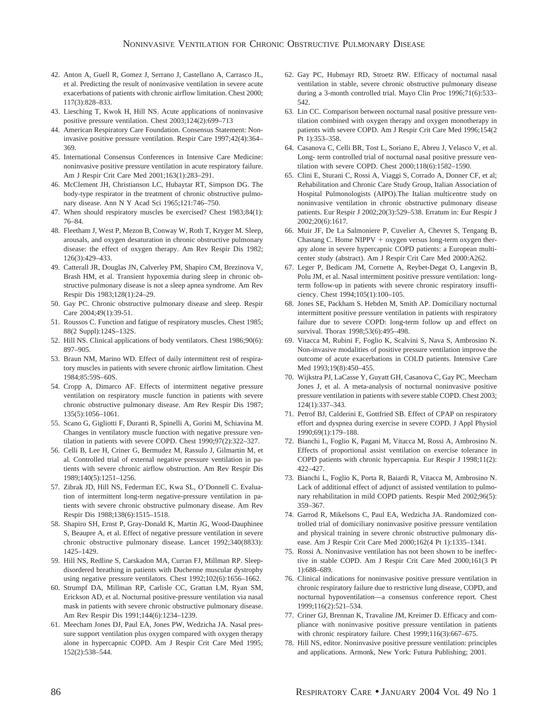- 42. Anton A, Guell R, Gomez J, Serrano J, Castellano A, Carrasco JL, et al. Predicting the result of noninvasive ventilation in severe acute exacerbations of patients with chronic airflow limitation. Chest 2000; 117(3):828–833.
- 43. Liesching T, Kwok H, Hill NS. Acute applications of noninvasive positive pressure ventilation. Chest 2003;124(2):699–713
- 44. American Respiratory Care Foundation. Consensus Statement: Noninvasive positive pressure ventilation. Respir Care 1997;42(4):364– 369.
- 45. International Consensus Conferences in Intensive Care Medicine: noninvasive positive pressure ventilation in acute respiratory failure. Am J Respir Crit Care Med 2001;163(1):283–291.
- 46. McClement JH, Christianson LC, Hubaytar RT, Simpson DG. The body-type respirator in the treatment of chronic obstructive pulmonary disease. Ann N Y Acad Sci 1965;121:746–750.
- 47. When should respiratory muscles be exercised? Chest 1983;84(1): 76–84.
- 48. Fleetham J, West P, Mezon B, Conway W, Roth T, Kryger M. Sleep, arousals, and oxygen desaturation in chronic obstructive pulmonary disease: the effect of oxygen therapy. Am Rev Respir Dis 1982; 126(3):429–433.
- 49. Catterall JR, Douglas JN, Calverley PM, Shapiro CM, Brezinova V, Brash HM, et al. Transient hypoxemia during sleep in chronic obstructive pulmonary disease is not a sleep apnea syndrome. Am Rev Respir Dis 1983;128(1):24–29.
- 50. Gay PC. Chronic obstructive pulmonary disease and sleep. Respir Care 2004;49(1):39-51.
- 51. Roussos C. Function and fatigue of respiratory muscles. Chest 1985; 88(2 Suppl):124S–132S.
- 52. Hill NS. Clinical applications of body ventilators. Chest 1986;90(6): 897–905.
- 53. Braun NM, Marino WD. Effect of daily intermittent rest of respiratory muscles in patients with severe chronic airflow limitation. Chest 1984;85:59S–60S.
- 54. Cropp A, Dimarco AF. Effects of intermittent negative pressure ventilation on respiratory muscle function in patients with severe chronic obstructive pulmonary disease. Am Rev Respir Dis 1987; 135(5):1056–1061.
- 55. Scano G, Gigliotti F, Duranti R, Spinelli A, Gorini M, Schiavina M. Changes in ventilatory muscle function with negative pressure ventilation in patients with severe COPD. Chest 1990;97(2):322–327.
- 56. Celli B, Lee H, Criner G, Bermudez M, Rassulo J, Gilmartin M, et al. Controlled trial of external negative pressure ventilation in patients with severe chronic airflow obstruction. Am Rev Respir Dis 1989;140(5):1251–1256.
- 57. Zibrak JD, Hill NS, Federman EC, Kwa SL, O'Donnell C. Evaluation of intermittent long-term negative-pressure ventilation in patients with severe chronic obstructive pulmonary disease. Am Rev Respir Dis 1988;138(6):1515–1518.
- 58. Shapiro SH, Ernst P, Gray-Donald K, Martin JG, Wood-Dauphinee S, Beaupre A, et al. Effect of negative pressure ventilation in severe chronic obstructive pulmonary disease. Lancet 1992;340(8833): 1425–1429.
- 59. Hill NS, Redline S, Carskadon MA, Curran FJ, Millman RP. Sleepdisordered breathing in patients with Duchenne muscular dystrophy using negative pressure ventilators. Chest 1992;102(6):1656–1662.
- 60. Strumpf DA, Millman RP, Carlisle CC, Grattan LM, Ryan SM, Erickson AD, et al. Nocturnal positive-pressure ventilation via nasal mask in patients with severe chronic obstructive pulmonary disease. Am Rev Respir Dis 1991;144(6):1234–1239.
- 61. Meecham Jones DJ, Paul EA, Jones PW, Wedzicha JA. Nasal pressure support ventilation plus oxygen compared with oxygen therapy alone in hypercapnic COPD. Am J Respir Crit Care Med 1995; 152(2):538–544.
- 62. Gay PC, Hubmayr RD, Stroetz RW. Efficacy of nocturnal nasal ventilation in stable, severe chronic obstructive pulmonary disease during a 3-month controlled trial. Mayo Clin Proc 1996;71(6):533– 542.
- 63. Lin CC. Comparison between nocturnal nasal positive pressure ventilation combined with oxygen therapy and oxygen monotherapy in patients with severe COPD. Am J Respir Crit Care Med 1996;154(2 Pt 1):353–358.
- 64. Casanova C, Celli BR, Tost L, Soriano E, Abreu J, Velasco V, et al. Long- term controlled trial of nocturnal nasal positive pressure ventilation with severe COPD. Chest 2000;118(6):1582–1590.
- 65. Clini E, Sturani C, Rossi A, Viaggi S, Corrado A, Donner CF, et al; Rehabilitation and Chronic Care Study Group, Italian Association of Hospital Pulmonologists (AIPO).The Italian multicentre study on noninvasive ventilation in chronic obstructive pulmonary disease patients. Eur Respir J 2002;20(3):529–538. Erratum in: Eur Respir J 2002;20(6):1617.
- 66. Muir JF, De La Salmoniere P, Cuvelier A, Chevret S, Tengang B, Chastang C. Home NIPPV  $+$  oxygen versus long-term oxygen therapy alone in severe hypercapnic COPD patients: a European multicenter study (abstract). Am J Respir Crit Care Med 2000:A262.
- 67. Leger P, Bedicam JM, Cornette A, Reybet-Degat O, Langevin B, Polu JM, et al. Nasal intermittent positive pressure ventilation: longterm follow-up in patients with severe chronic respiratory insufficiency. Chest 1994;105(1):100–105.
- 68. Jones SE, Packham S. Hebden M, Smith AP. Domiciliary nocturnal intermittent positive pressure ventilation in patients with respiratory failure due to severe COPD: long-term follow up and effect on survival. Thorax 1998;53(6):495–498.
- 69. Vitacca M, Rubini F, Foglio K, Scalvini S, Nava S, Ambrosino N. Non-invasive modalities of positive pressure ventilation improve the outcome of acute exacerbations in COLD patients. Intensive Care Med 1993;19(8):450–455.
- 70. Wijkstra PJ, LaCasse Y, Guyatt GH, Casanova C, Gay PC, Meecham Jones J, et al. A meta-analysis of nocturnal noninvasive positive pressure ventilation in patients with severe stable COPD. Chest 2003; 124(1):337–343.
- 71. Petrof BJ, Calderini E, Gottfried SB. Effect of CPAP on respiratory effort and dyspnea during exercise in severe COPD. J Appl Physiol 1990;69(1):179–188.
- 72. Bianchi L, Foglio K, Pagani M, Vitacca M, Rossi A, Ambrosino N. Effects of proportional assist ventilation on exercise tolerance in COPD patients with chronic hypercapnia. Eur Respir J 1998;11(2): 422–427.
- 73. Bianchi L, Foglio K, Porta R, Baiardi R, Vitacca M, Ambrosino N. Lack of additional effect of adjunct of assisted ventilation to pulmonary rehabilitation in mild COPD patients. Respir Med 2002;96(5): 359–367.
- 74. Garrod R, Mikelsons C, Paul EA, Wedzicha JA. Randomized controlled trial of domiciliary noninvasive positive pressure ventilation and physical training in severe chronic obstructive pulmonary disease. Am J Respir Crit Care Med 2000;162(4 Pt 1):1335–1341.
- 75. Rossi A. Noninvasive ventilation has not been shown to be ineffective in stable COPD. Am J Respir Crit Care Med 2000;161(3 Pt 1):688–689.
- 76. Clinical indications for noninvasive positive pressure ventilation in chronic respiratory failure due to restrictive lung disease, COPD, and nocturnal hypoventilation—a consensus conference report. Chest 1999;116(2):521–534.
- 77. Criner GJ, Brennan K, Travaline JM, Kreimer D. Efficacy and compliance with noninvasive positive pressure ventilation in patients with chronic respiratory failure. Chest 1999;116(3):667–675.
- 78. Hill NS, editor. Noninvasive positive pressure ventilation: principles and applications. Armonk, New York: Futura Publishing; 2001.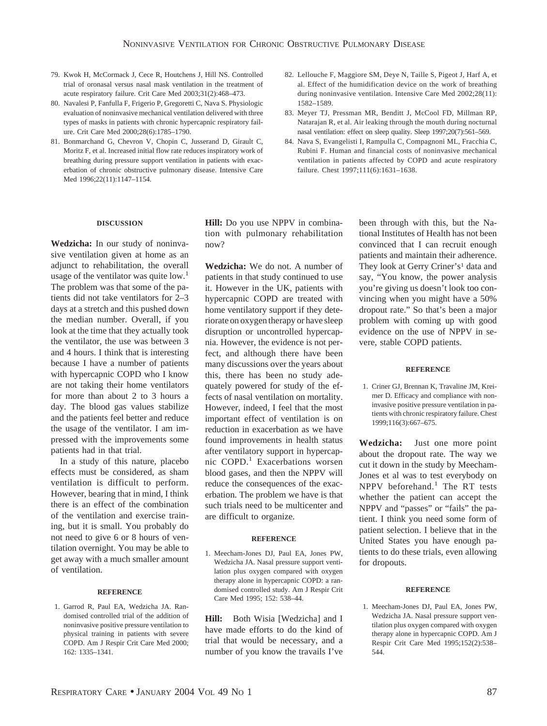- 79. Kwok H, McCormack J, Cece R, Houtchens J, Hill NS. Controlled trial of oronasal versus nasal mask ventilation in the treatment of acute respiratory failure. Crit Care Med 2003;31(2):468–473.
- 80. Navalesi P, Fanfulla F, Frigerio P, Gregoretti C, Nava S. Physiologic evaluation of noninvasive mechanical ventilation delivered with three types of masks in patients with chronic hypercapnic respiratory failure. Crit Care Med 2000;28(6):1785–1790.
- 81. Bonmarchand G, Chevron V, Chopin C, Jusserand D, Girault C, Moritz F, et al. Increased initial flow rate reduces inspiratory work of breathing during pressure support ventilation in patients with exacerbation of chronic obstructive pulmonary disease. Intensive Care Med 1996;22(11):1147–1154.
- 82. Lellouche F, Maggiore SM, Deye N, Taille S, Pigeot J, Harf A, et al. Effect of the humidification device on the work of breathing during noninvasive ventilation. Intensive Care Med 2002;28(11): 1582–1589.
- 83. Meyer TJ, Pressman MR, Benditt J, McCool FD, Millman RP, Natarajan R, et al. Air leaking through the mouth during nocturnal nasal ventilation: effect on sleep quality. Sleep 1997;20(7):561–569.
- 84. Nava S, Evangelisti I, Rampulla C, Compagnoni ML, Fracchia C, Rubini F. Human and financial costs of noninvasive mechanical ventilation in patients affected by COPD and acute respiratory failure. Chest 1997;111(6):1631–1638.

## **DISCUSSION**

**Wedzicha:** In our study of noninvasive ventilation given at home as an adjunct to rehabilitation, the overall usage of the ventilator was quite  $low<sup>1</sup>$ The problem was that some of the patients did not take ventilators for 2–3 days at a stretch and this pushed down the median number. Overall, if you look at the time that they actually took the ventilator, the use was between 3 and 4 hours. I think that is interesting because I have a number of patients with hypercapnic COPD who I know are not taking their home ventilators for more than about 2 to 3 hours a day. The blood gas values stabilize and the patients feel better and reduce the usage of the ventilator. I am impressed with the improvements some patients had in that trial.

In a study of this nature, placebo effects must be considered, as sham ventilation is difficult to perform. However, bearing that in mind, I think there is an effect of the combination of the ventilation and exercise training, but it is small. You probably do not need to give 6 or 8 hours of ventilation overnight. You may be able to get away with a much smaller amount of ventilation.

## **REFERENCE**

1. Garrod R, Paul EA, Wedzicha JA. Randomised controlled trial of the addition of noninvasive positive pressure ventilation to physical training in patients with severe COPD. Am J Respir Crit Care Med 2000; 162: 1335–1341.

**Hill:** Do you use NPPV in combination with pulmonary rehabilitation now?

**Wedzicha:** We do not. A number of patients in that study continued to use it. However in the UK, patients with hypercapnic COPD are treated with home ventilatory support if they deteriorate on oxygen therapy or have sleep disruption or uncontrolled hypercapnia. However, the evidence is not perfect, and although there have been many discussions over the years about this, there has been no study adequately powered for study of the effects of nasal ventilation on mortality. However, indeed, I feel that the most important effect of ventilation is on reduction in exacerbation as we have found improvements in health status after ventilatory support in hypercapnic COPD.<sup>1</sup> Exacerbations worsen blood gases, and then the NPPV will reduce the consequences of the exacerbation. The problem we have is that such trials need to be multicenter and are difficult to organize.

#### **REFERENCE**

1. Meecham-Jones DJ, Paul EA, Jones PW, Wedzicha JA. Nasal pressure support ventilation plus oxygen compared with oxygen therapy alone in hypercapnic COPD: a randomised controlled study. Am J Respir Crit Care Med 1995; 152: 538–44.

**Hill:** Both Wisia [Wedzicha] and I have made efforts to do the kind of trial that would be necessary, and a number of you know the travails I've

been through with this, but the National Institutes of Health has not been convinced that I can recruit enough patients and maintain their adherence. They look at Gerry Criner's<sup>1</sup> data and say, "You know, the power analysis you're giving us doesn't look too convincing when you might have a 50% dropout rate." So that's been a major problem with coming up with good evidence on the use of NPPV in severe, stable COPD patients.

#### **REFERENCE**

1. Criner GJ, Brennan K, Travaline JM, Kreimer D. Efficacy and compliance with noninvasive positive pressure ventilation in patients with chronic respiratory failure. Chest 1999;116(3):667–675.

**Wedzicha:** Just one more point about the dropout rate. The way we cut it down in the study by Meecham-Jones et al was to test everybody on NPPV beforehand.<sup>1</sup> The RT tests whether the patient can accept the NPPV and "passes" or "fails" the patient. I think you need some form of patient selection. I believe that in the United States you have enough patients to do these trials, even allowing for dropouts.

#### **REFERENCE**

1. Meecham-Jones DJ, Paul EA, Jones PW, Wedzicha JA. Nasal pressure support ventilation plus oxygen compared with oxygen therapy alone in hypercapnic COPD. Am J Respir Crit Care Med 1995;152(2):538– 544.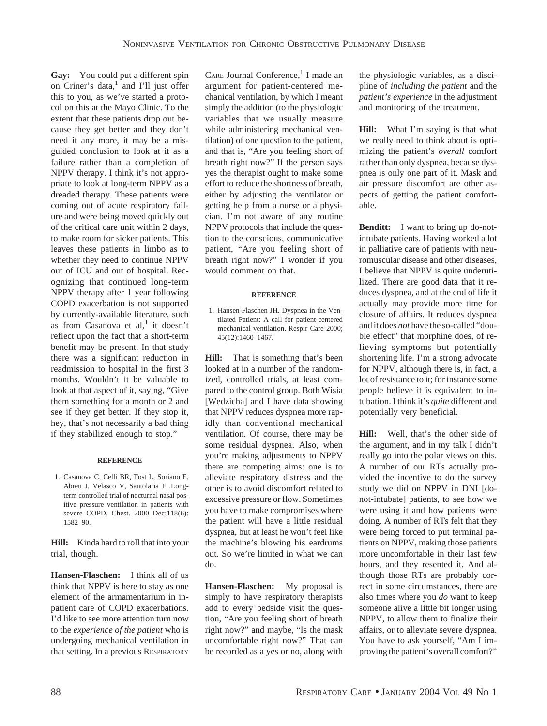**Gay:** You could put a different spin on Criner's data, $<sup>1</sup>$  and I'll just offer</sup> this to you, as we've started a protocol on this at the Mayo Clinic. To the extent that these patients drop out because they get better and they don't need it any more, it may be a misguided conclusion to look at it as a failure rather than a completion of NPPV therapy. I think it's not appropriate to look at long-term NPPV as a dreaded therapy. These patients were coming out of acute respiratory failure and were being moved quickly out of the critical care unit within 2 days, to make room for sicker patients. This leaves these patients in limbo as to whether they need to continue NPPV out of ICU and out of hospital. Recognizing that continued long-term NPPV therapy after 1 year following COPD exacerbation is not supported by currently-available literature, such as from Casanova et  $al,$ <sup>1</sup> it doesn't reflect upon the fact that a short-term benefit may be present. In that study there was a significant reduction in readmission to hospital in the first 3 months. Wouldn't it be valuable to look at that aspect of it, saying, "Give them something for a month or 2 and see if they get better. If they stop it, hey, that's not necessarily a bad thing if they stabilized enough to stop."

## **REFERENCE**

1. Casanova C, Celli BR, Tost L, Soriano E, Abreu J, Velasco V, Santolaria F .Longterm controlled trial of nocturnal nasal positive pressure ventilation in patients with severe COPD. Chest. 2000 Dec;118(6): 1582–90.

**Hill:** Kinda hard to roll that into your trial, though.

**Hansen-Flaschen:** I think all of us think that NPPV is here to stay as one element of the armamentarium in inpatient care of COPD exacerbations. I'd like to see more attention turn now to the *experience of the patient* who is undergoing mechanical ventilation in that setting. In a previous RESPIRATORY CARE Journal Conference, $<sup>1</sup>$  I made an</sup> argument for patient-centered mechanical ventilation, by which I meant simply the addition (to the physiologic variables that we usually measure while administering mechanical ventilation) of one question to the patient, and that is, "Are you feeling short of breath right now?" If the person says yes the therapist ought to make some effort to reduce the shortness of breath, either by adjusting the ventilator or getting help from a nurse or a physician. I'm not aware of any routine NPPV protocols that include the question to the conscious, communicative patient, "Are you feeling short of breath right now?" I wonder if you would comment on that.

#### **REFERENCE**

1. Hansen-Flaschen JH. Dyspnea in the Ventilated Patient: A call for patient-centered mechanical ventilation. Respir Care 2000; 45(12):1460–1467.

**Hill:** That is something that's been looked at in a number of the randomized, controlled trials, at least compared to the control group. Both Wisia [Wedzicha] and I have data showing that NPPV reduces dyspnea more rapidly than conventional mechanical ventilation. Of course, there may be some residual dyspnea. Also, when you're making adjustments to NPPV there are competing aims: one is to alleviate respiratory distress and the other is to avoid discomfort related to excessive pressure or flow. Sometimes you have to make compromises where the patient will have a little residual dyspnea, but at least he won't feel like the machine's blowing his eardrums out. So we're limited in what we can do.

**Hansen-Flaschen:** My proposal is simply to have respiratory therapists add to every bedside visit the question, "Are you feeling short of breath right now?" and maybe, "Is the mask uncomfortable right now?" That can be recorded as a yes or no, along with

the physiologic variables, as a discipline of *including the patient* and the *patient's experience* in the adjustment and monitoring of the treatment.

**Hill:** What I'm saying is that what we really need to think about is optimizing the patient's *overall* comfort rather than only dyspnea, because dyspnea is only one part of it. Mask and air pressure discomfort are other aspects of getting the patient comfortable.

**Benditt:** I want to bring up do-notintubate patients. Having worked a lot in palliative care of patients with neuromuscular disease and other diseases, I believe that NPPV is quite underutilized. There are good data that it reduces dyspnea, and at the end of life it actually may provide more time for closure of affairs. It reduces dyspnea and it does *not* have the so-called "double effect" that morphine does, of relieving symptoms but potentially shortening life. I'm a strong advocate for NPPV, although there is, in fact, a lot of resistance to it; for instance some people believe it is equivalent to intubation. I think it's *quite* different and potentially very beneficial.

**Hill:** Well, that's the other side of the argument, and in my talk I didn't really go into the polar views on this. A number of our RTs actually provided the incentive to do the survey study we did on NPPV in DNI [donot-intubate] patients, to see how we were using it and how patients were doing. A number of RTs felt that they were being forced to put terminal patients on NPPV, making those patients more uncomfortable in their last few hours, and they resented it. And although those RTs are probably correct in some circumstances, there are also times where you *do* want to keep someone alive a little bit longer using NPPV, to allow them to finalize their affairs, or to alleviate severe dyspnea. You have to ask yourself, "Am I improving the patient's overall comfort?"